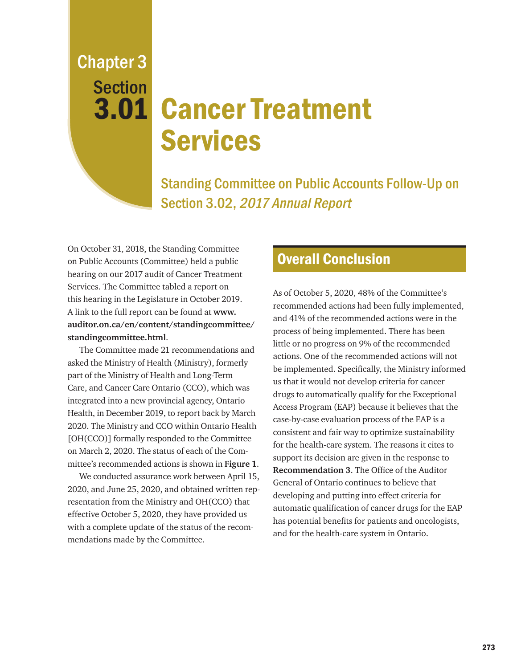Chapter 3 **Section** 

# 3.01 Cancer Treatment Services

Standing Committee on Public Accounts Follow-Up on Section 3.02, 2017 Annual Report

On October 31, 2018, the Standing Committee on Public Accounts (Committee) held a public hearing on our 2017 audit of Cancer Treatment Services. The Committee tabled a report on this hearing in the Legislature in October 2019. A link to the full report can be found at **www. auditor.on.ca/en/content/standingcommittee/ standingcommittee.html**.

The Committee made 21 recommendations and asked the Ministry of Health (Ministry), formerly part of the Ministry of Health and Long-Term Care, and Cancer Care Ontario (CCO), which was integrated into a new provincial agency, Ontario Health, in December 2019, to report back by March 2020. The Ministry and CCO within Ontario Health [OH(CCO)] formally responded to the Committee on March 2, 2020. The status of each of the Committee's recommended actions is shown in **Figure 1**.

We conducted assurance work between April 15, 2020, and June 25, 2020, and obtained written representation from the Ministry and OH(CCO) that effective October 5, 2020, they have provided us with a complete update of the status of the recommendations made by the Committee.

### Overall Conclusion

As of October 5, 2020, 48% of the Committee's recommended actions had been fully implemented, and 41% of the recommended actions were in the process of being implemented. There has been little or no progress on 9% of the recommended actions. One of the recommended actions will not be implemented. Specifically, the Ministry informed us that it would not develop criteria for cancer drugs to automatically qualify for the Exceptional Access Program (EAP) because it believes that the case-by-case evaluation process of the EAP is a consistent and fair way to optimize sustainability for the health-care system. The reasons it cites to support its decision are given in the response to **Recommendation 3**. The Office of the Auditor General of Ontario continues to believe that developing and putting into effect criteria for automatic qualification of cancer drugs for the EAP has potential benefits for patients and oncologists, and for the health-care system in Ontario.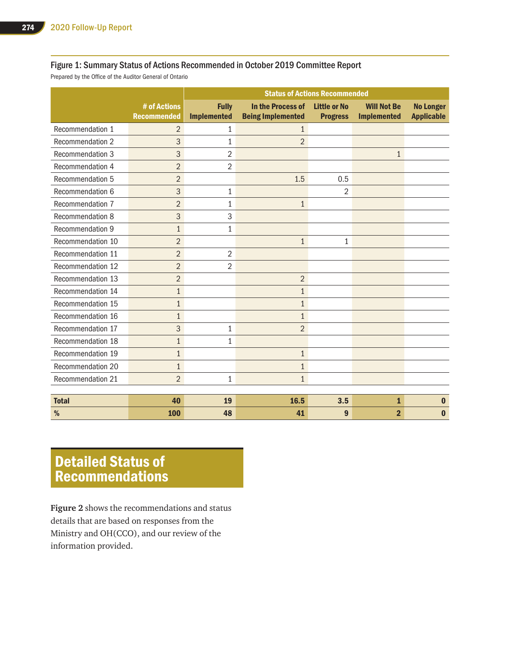#### Figure 1: Summary Status of Actions Recommended in October 2019 Committee Report

Prepared by the Office of the Auditor General of Ontario

|                   |                                    |                                    | <b>Status of Actions Recommended</b>          |                                        |                                          |                                       |
|-------------------|------------------------------------|------------------------------------|-----------------------------------------------|----------------------------------------|------------------------------------------|---------------------------------------|
|                   | # of Actions<br><b>Recommended</b> | <b>Fully</b><br><b>Implemented</b> | In the Process of<br><b>Being Implemented</b> | <b>Little or No</b><br><b>Progress</b> | <b>Will Not Be</b><br><b>Implemented</b> | <b>No Longer</b><br><b>Applicable</b> |
| Recommendation 1  | $\overline{2}$                     | 1                                  | $\mathbf{1}$                                  |                                        |                                          |                                       |
| Recommendation 2  | 3                                  | 1                                  | $\overline{2}$                                |                                        |                                          |                                       |
| Recommendation 3  | 3                                  | $\overline{2}$                     |                                               |                                        | $\mathbf{1}$                             |                                       |
| Recommendation 4  | $\overline{2}$                     | $\overline{2}$                     |                                               |                                        |                                          |                                       |
| Recommendation 5  | $\overline{2}$                     |                                    | 1.5                                           | 0.5                                    |                                          |                                       |
| Recommendation 6  | 3                                  | 1                                  |                                               | $\overline{2}$                         |                                          |                                       |
| Recommendation 7  | $\overline{2}$                     | $\mathbf{1}$                       | $\mathbf{1}$                                  |                                        |                                          |                                       |
| Recommendation 8  | 3                                  | 3                                  |                                               |                                        |                                          |                                       |
| Recommendation 9  | $\mathbf{1}$                       | 1                                  |                                               |                                        |                                          |                                       |
| Recommendation 10 | $\overline{2}$                     |                                    | $\mathbf{1}$                                  | $\mathbf{1}$                           |                                          |                                       |
| Recommendation 11 | $\overline{2}$                     | $\overline{2}$                     |                                               |                                        |                                          |                                       |
| Recommendation 12 | $\overline{2}$                     | $\overline{2}$                     |                                               |                                        |                                          |                                       |
| Recommendation 13 | $\overline{2}$                     |                                    | $\overline{2}$                                |                                        |                                          |                                       |
| Recommendation 14 | $\mathbf{1}$                       |                                    | $\mathbf{1}$                                  |                                        |                                          |                                       |
| Recommendation 15 | $\mathbf{1}$                       |                                    | $\mathbf{1}$                                  |                                        |                                          |                                       |
| Recommendation 16 | $\mathbf{1}$                       |                                    | $\mathbf{1}$                                  |                                        |                                          |                                       |
| Recommendation 17 | 3                                  | 1                                  | $\overline{2}$                                |                                        |                                          |                                       |
| Recommendation 18 | $\mathbf{1}$                       | 1                                  |                                               |                                        |                                          |                                       |
| Recommendation 19 | $\mathbf{1}$                       |                                    | $\mathbf{1}$                                  |                                        |                                          |                                       |
| Recommendation 20 | $\mathbf{1}$                       |                                    | $\mathbf{1}$                                  |                                        |                                          |                                       |
| Recommendation 21 | $\overline{2}$                     | 1                                  | $\mathbf{1}$                                  |                                        |                                          |                                       |
|                   |                                    |                                    |                                               |                                        |                                          |                                       |
| <b>Total</b>      | 40                                 | 19                                 | 16.5                                          | 3.5                                    | $\mathbf{1}$                             | $\bf{0}$                              |
| %                 | 100                                | 48                                 | 41                                            | 9                                      | $\overline{2}$                           | $\bf{0}$                              |

## Detailed Status of Recommendations

**Figure 2** shows the recommendations and status details that are based on responses from the Ministry and OH(CCO), and our review of the information provided.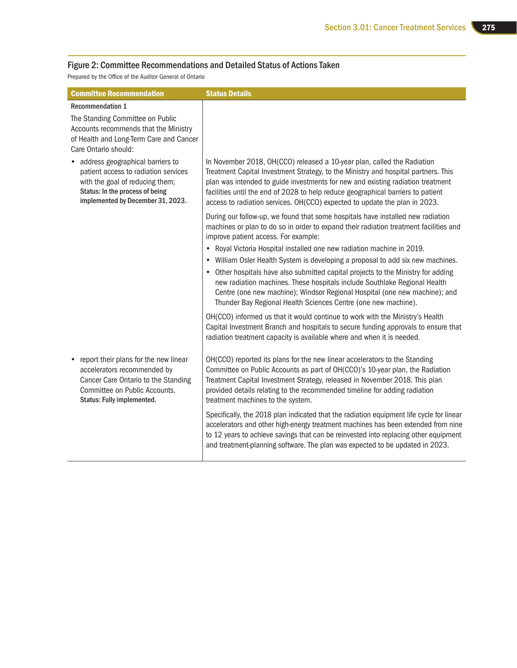#### Figure 2: Committee Recommendations and Detailed Status of Actions Taken

Prepared by the Office of the Auditor General of Ontario

| <b>Committee Recommendation</b>                                                                                                                                                       | <b>Status Details</b>                                                                                                                                                                                                                                                                                                                                                                                                                                                     |
|---------------------------------------------------------------------------------------------------------------------------------------------------------------------------------------|---------------------------------------------------------------------------------------------------------------------------------------------------------------------------------------------------------------------------------------------------------------------------------------------------------------------------------------------------------------------------------------------------------------------------------------------------------------------------|
| <b>Recommendation 1</b>                                                                                                                                                               |                                                                                                                                                                                                                                                                                                                                                                                                                                                                           |
| The Standing Committee on Public<br>Accounts recommends that the Ministry<br>of Health and Long-Term Care and Cancer<br>Care Ontario should:                                          |                                                                                                                                                                                                                                                                                                                                                                                                                                                                           |
| • address geographical barriers to<br>patient access to radiation services<br>with the goal of reducing them;<br>Status: In the process of being<br>implemented by December 31, 2023. | In November 2018, OH(CCO) released a 10-year plan, called the Radiation<br>Treatment Capital Investment Strategy, to the Ministry and hospital partners. This<br>plan was intended to guide investments for new and existing radiation treatment<br>facilities until the end of 2028 to help reduce geographical barriers to patient<br>access to radiation services. OH(CCO) expected to update the plan in 2023.                                                        |
|                                                                                                                                                                                       | During our follow-up, we found that some hospitals have installed new radiation<br>machines or plan to do so in order to expand their radiation treatment facilities and<br>improve patient access. For example:                                                                                                                                                                                                                                                          |
|                                                                                                                                                                                       | • Royal Victoria Hospital installed one new radiation machine in 2019.<br>• William Osler Health System is developing a proposal to add six new machines.<br>Other hospitals have also submitted capital projects to the Ministry for adding<br>new radiation machines. These hospitals include Southlake Regional Health<br>Centre (one new machine); Windsor Regional Hospital (one new machine); and<br>Thunder Bay Regional Health Sciences Centre (one new machine). |
|                                                                                                                                                                                       | OH(CCO) informed us that it would continue to work with the Ministry's Health<br>Capital Investment Branch and hospitals to secure funding approvals to ensure that<br>radiation treatment capacity is available where and when it is needed.                                                                                                                                                                                                                             |
| report their plans for the new linear<br>accelerators recommended by<br>Cancer Care Ontario to the Standing<br>Committee on Public Accounts.<br>Status: Fully implemented.            | OH(CCO) reported its plans for the new linear accelerators to the Standing<br>Committee on Public Accounts as part of OH(CCO)'s 10-year plan, the Radiation<br>Treatment Capital Investment Strategy, released in November 2018. This plan<br>provided details relating to the recommended timeline for adding radiation<br>treatment machines to the system.                                                                                                             |
|                                                                                                                                                                                       | Specifically, the 2018 plan indicated that the radiation equipment life cycle for linear<br>accelerators and other high-energy treatment machines has been extended from nine<br>to 12 years to achieve savings that can be reinvested into replacing other equipment<br>and treatment-planning software. The plan was expected to be updated in 2023.                                                                                                                    |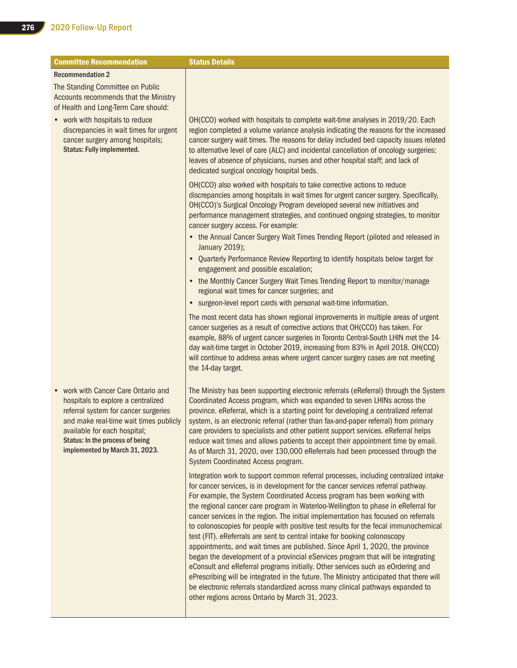| <b>Committee Recommendation</b>                                                                                                                                                                                                                                | <b>Status Details</b>                                                                                                                                                                                                                                                                                                                                                                                                                                                                                                                                                                                                                                                                                                                                                                                                                                                                                                                                                                                                                                                                      |
|----------------------------------------------------------------------------------------------------------------------------------------------------------------------------------------------------------------------------------------------------------------|--------------------------------------------------------------------------------------------------------------------------------------------------------------------------------------------------------------------------------------------------------------------------------------------------------------------------------------------------------------------------------------------------------------------------------------------------------------------------------------------------------------------------------------------------------------------------------------------------------------------------------------------------------------------------------------------------------------------------------------------------------------------------------------------------------------------------------------------------------------------------------------------------------------------------------------------------------------------------------------------------------------------------------------------------------------------------------------------|
| <b>Recommendation 2</b>                                                                                                                                                                                                                                        |                                                                                                                                                                                                                                                                                                                                                                                                                                                                                                                                                                                                                                                                                                                                                                                                                                                                                                                                                                                                                                                                                            |
| The Standing Committee on Public<br>Accounts recommends that the Ministry<br>of Health and Long-Term Care should:                                                                                                                                              |                                                                                                                                                                                                                                                                                                                                                                                                                                                                                                                                                                                                                                                                                                                                                                                                                                                                                                                                                                                                                                                                                            |
| • work with hospitals to reduce<br>discrepancies in wait times for urgent<br>cancer surgery among hospitals;<br><b>Status: Fully implemented.</b>                                                                                                              | OH(CCO) worked with hospitals to complete wait-time analyses in 2019/20. Each<br>region completed a volume variance analysis indicating the reasons for the increased<br>cancer surgery wait times. The reasons for delay included bed capacity issues related<br>to alternative level of care (ALC) and incidental cancellation of oncology surgeries;<br>leaves of absence of physicians, nurses and other hospital staff; and lack of<br>dedicated surgical oncology hospital beds.                                                                                                                                                                                                                                                                                                                                                                                                                                                                                                                                                                                                     |
|                                                                                                                                                                                                                                                                | OH(CCO) also worked with hospitals to take corrective actions to reduce<br>discrepancies among hospitals in wait times for urgent cancer surgery. Specifically,<br>OH(CCO)'s Surgical Oncology Program developed several new initiatives and<br>performance management strategies, and continued ongoing strategies, to monitor<br>cancer surgery access. For example:                                                                                                                                                                                                                                                                                                                                                                                                                                                                                                                                                                                                                                                                                                                     |
|                                                                                                                                                                                                                                                                | • the Annual Cancer Surgery Wait Times Trending Report (piloted and released in<br>January 2019);                                                                                                                                                                                                                                                                                                                                                                                                                                                                                                                                                                                                                                                                                                                                                                                                                                                                                                                                                                                          |
|                                                                                                                                                                                                                                                                | • Quarterly Performance Review Reporting to identify hospitals below target for<br>engagement and possible escalation;                                                                                                                                                                                                                                                                                                                                                                                                                                                                                                                                                                                                                                                                                                                                                                                                                                                                                                                                                                     |
|                                                                                                                                                                                                                                                                | • the Monthly Cancer Surgery Wait Times Trending Report to monitor/manage<br>regional wait times for cancer surgeries; and                                                                                                                                                                                                                                                                                                                                                                                                                                                                                                                                                                                                                                                                                                                                                                                                                                                                                                                                                                 |
|                                                                                                                                                                                                                                                                | • surgeon-level report cards with personal wait-time information.                                                                                                                                                                                                                                                                                                                                                                                                                                                                                                                                                                                                                                                                                                                                                                                                                                                                                                                                                                                                                          |
|                                                                                                                                                                                                                                                                | The most recent data has shown regional improvements in multiple areas of urgent<br>cancer surgeries as a result of corrective actions that OH(CCO) has taken. For<br>example, 88% of urgent cancer surgeries in Toronto Central-South LHIN met the 14-<br>day wait-time target in October 2019, increasing from 83% in April 2018. OH(CCO)<br>will continue to address areas where urgent cancer surgery cases are not meeting<br>the 14-day target.                                                                                                                                                                                                                                                                                                                                                                                                                                                                                                                                                                                                                                      |
| work with Cancer Care Ontario and<br>hospitals to explore a centralized<br>referral system for cancer surgeries<br>and make real-time wait times publicly<br>available for each hospital;<br>Status: In the process of being<br>implemented by March 31, 2023. | The Ministry has been supporting electronic referrals (eReferral) through the System<br>Coordinated Access program, which was expanded to seven LHINs across the<br>province. eReferral, which is a starting point for developing a centralized referral<br>system, is an electronic referral (rather than fax-and-paper referral) from primary<br>care providers to specialists and other patient support services. eReferral helps<br>reduce wait times and allows patients to accept their appointment time by email.<br>As of March 31, 2020, over 130,000 eReferrals had been processed through the<br>System Coordinated Access program.                                                                                                                                                                                                                                                                                                                                                                                                                                             |
|                                                                                                                                                                                                                                                                | Integration work to support common referral processes, including centralized intake<br>for cancer services, is in development for the cancer services referral pathway.<br>For example, the System Coordinated Access program has been working with<br>the regional cancer care program in Waterloo-Wellington to phase in eReferral for<br>cancer services in the region. The initial implementation has focused on referrals<br>to colonoscopies for people with positive test results for the fecal immunochemical<br>test (FIT). eReferrals are sent to central intake for booking colonoscopy<br>appointments, and wait times are published. Since April 1, 2020, the province<br>began the development of a provincial eServices program that will be integrating<br>eConsult and eReferral programs initially. Other services such as eOrdering and<br>ePrescribing will be integrated in the future. The Ministry anticipated that there will<br>be electronic referrals standardized across many clinical pathways expanded to<br>other regions across Ontario by March 31, 2023. |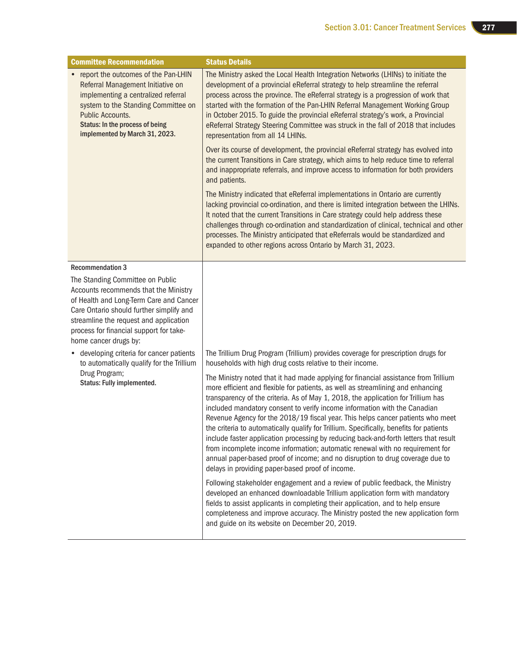| <b>Committee Recommendation</b>                                                                                                                                                                                                                                                | <b>Status Details</b>                                                                                                                                                                                                                                                                                                                                                                                                                                                                                                                                                                                                                                                                                                                                                                                                                |
|--------------------------------------------------------------------------------------------------------------------------------------------------------------------------------------------------------------------------------------------------------------------------------|--------------------------------------------------------------------------------------------------------------------------------------------------------------------------------------------------------------------------------------------------------------------------------------------------------------------------------------------------------------------------------------------------------------------------------------------------------------------------------------------------------------------------------------------------------------------------------------------------------------------------------------------------------------------------------------------------------------------------------------------------------------------------------------------------------------------------------------|
| • report the outcomes of the Pan-LHIN<br>Referral Management Initiative on<br>implementing a centralized referral<br>system to the Standing Committee on<br>Public Accounts.<br>Status: In the process of being<br>implemented by March 31, 2023.                              | The Ministry asked the Local Health Integration Networks (LHINs) to initiate the<br>development of a provincial eReferral strategy to help streamline the referral<br>process across the province. The eReferral strategy is a progression of work that<br>started with the formation of the Pan-LHIN Referral Management Working Group<br>in October 2015. To guide the provincial eReferral strategy's work, a Provincial<br>eReferral Strategy Steering Committee was struck in the fall of 2018 that includes<br>representation from all 14 LHINs.                                                                                                                                                                                                                                                                               |
|                                                                                                                                                                                                                                                                                | Over its course of development, the provincial eReferral strategy has evolved into<br>the current Transitions in Care strategy, which aims to help reduce time to referral<br>and inappropriate referrals, and improve access to information for both providers<br>and patients.                                                                                                                                                                                                                                                                                                                                                                                                                                                                                                                                                     |
|                                                                                                                                                                                                                                                                                | The Ministry indicated that eReferral implementations in Ontario are currently<br>lacking provincial co-ordination, and there is limited integration between the LHINs.<br>It noted that the current Transitions in Care strategy could help address these<br>challenges through co-ordination and standardization of clinical, technical and other<br>processes. The Ministry anticipated that eReferrals would be standardized and<br>expanded to other regions across Ontario by March 31, 2023.                                                                                                                                                                                                                                                                                                                                  |
| <b>Recommendation 3</b>                                                                                                                                                                                                                                                        |                                                                                                                                                                                                                                                                                                                                                                                                                                                                                                                                                                                                                                                                                                                                                                                                                                      |
| The Standing Committee on Public<br>Accounts recommends that the Ministry<br>of Health and Long-Term Care and Cancer<br>Care Ontario should further simplify and<br>streamline the request and application<br>process for financial support for take-<br>home cancer drugs by: |                                                                                                                                                                                                                                                                                                                                                                                                                                                                                                                                                                                                                                                                                                                                                                                                                                      |
| • developing criteria for cancer patients<br>to automatically qualify for the Trillium                                                                                                                                                                                         | The Trillium Drug Program (Trillium) provides coverage for prescription drugs for<br>households with high drug costs relative to their income.                                                                                                                                                                                                                                                                                                                                                                                                                                                                                                                                                                                                                                                                                       |
| Drug Program;<br>Status: Fully implemented.                                                                                                                                                                                                                                    | The Ministry noted that it had made applying for financial assistance from Trillium<br>more efficient and flexible for patients, as well as streamlining and enhancing<br>transparency of the criteria. As of May 1, 2018, the application for Trillium has<br>included mandatory consent to verify income information with the Canadian<br>Revenue Agency for the 2018/19 fiscal year. This helps cancer patients who meet<br>the criteria to automatically qualify for Trillium. Specifically, benefits for patients<br>include faster application processing by reducing back-and-forth letters that result<br>from incomplete income information; automatic renewal with no requirement for<br>annual paper-based proof of income; and no disruption to drug coverage due to<br>delays in providing paper-based proof of income. |
|                                                                                                                                                                                                                                                                                | Following stakeholder engagement and a review of public feedback, the Ministry<br>developed an enhanced downloadable Trillium application form with mandatory<br>fields to assist applicants in completing their application, and to help ensure<br>completeness and improve accuracy. The Ministry posted the new application form<br>and guide on its website on December 20, 2019.                                                                                                                                                                                                                                                                                                                                                                                                                                                |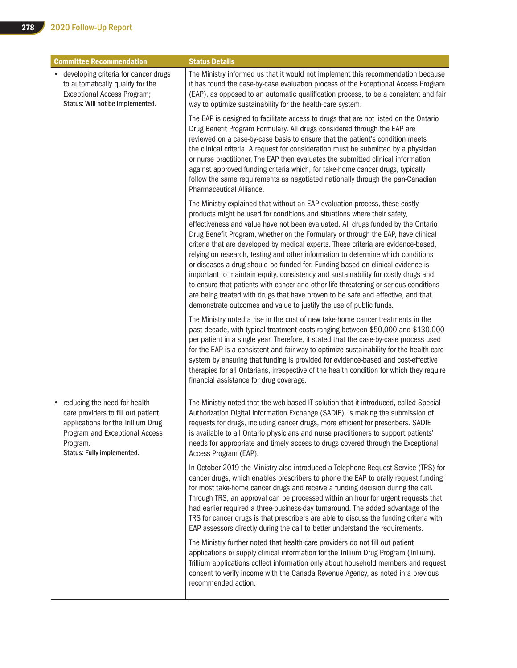| <b>Committee Recommendation</b>                                                                                                                                                           | <b>Status Details</b>                                                                                                                                                                                                                                                                                                                                                                                                                                                                                                                                                                                                                                                                                                                                                                                                                                                                                                              |
|-------------------------------------------------------------------------------------------------------------------------------------------------------------------------------------------|------------------------------------------------------------------------------------------------------------------------------------------------------------------------------------------------------------------------------------------------------------------------------------------------------------------------------------------------------------------------------------------------------------------------------------------------------------------------------------------------------------------------------------------------------------------------------------------------------------------------------------------------------------------------------------------------------------------------------------------------------------------------------------------------------------------------------------------------------------------------------------------------------------------------------------|
| • developing criteria for cancer drugs<br>to automatically qualify for the<br>Exceptional Access Program;<br>Status: Will not be implemented.                                             | The Ministry informed us that it would not implement this recommendation because<br>it has found the case-by-case evaluation process of the Exceptional Access Program<br>(EAP), as opposed to an automatic qualification process, to be a consistent and fair<br>way to optimize sustainability for the health-care system.                                                                                                                                                                                                                                                                                                                                                                                                                                                                                                                                                                                                       |
|                                                                                                                                                                                           | The EAP is designed to facilitate access to drugs that are not listed on the Ontario<br>Drug Benefit Program Formulary. All drugs considered through the EAP are<br>reviewed on a case-by-case basis to ensure that the patient's condition meets<br>the clinical criteria. A request for consideration must be submitted by a physician<br>or nurse practitioner. The EAP then evaluates the submitted clinical information<br>against approved funding criteria which, for take-home cancer drugs, typically<br>follow the same requirements as negotiated nationally through the pan-Canadian<br>Pharmaceutical Alliance.                                                                                                                                                                                                                                                                                                       |
|                                                                                                                                                                                           | The Ministry explained that without an EAP evaluation process, these costly<br>products might be used for conditions and situations where their safety,<br>effectiveness and value have not been evaluated. All drugs funded by the Ontario<br>Drug Benefit Program, whether on the Formulary or through the EAP, have clinical<br>criteria that are developed by medical experts. These criteria are evidence-based,<br>relying on research, testing and other information to determine which conditions<br>or diseases a drug should be funded for. Funding based on clinical evidence is<br>important to maintain equity, consistency and sustainability for costly drugs and<br>to ensure that patients with cancer and other life-threatening or serious conditions<br>are being treated with drugs that have proven to be safe and effective, and that<br>demonstrate outcomes and value to justify the use of public funds. |
|                                                                                                                                                                                           | The Ministry noted a rise in the cost of new take-home cancer treatments in the<br>past decade, with typical treatment costs ranging between \$50,000 and \$130,000<br>per patient in a single year. Therefore, it stated that the case-by-case process used<br>for the EAP is a consistent and fair way to optimize sustainability for the health-care<br>system by ensuring that funding is provided for evidence-based and cost-effective<br>therapies for all Ontarians, irrespective of the health condition for which they require<br>financial assistance for drug coverage.                                                                                                                                                                                                                                                                                                                                                |
| reducing the need for health<br>٠<br>care providers to fill out patient<br>applications for the Trillium Drug<br>Program and Exceptional Access<br>Program.<br>Status: Fully implemented. | The Ministry noted that the web-based IT solution that it introduced, called Special<br>Authorization Digital Information Exchange (SADIE), is making the submission of<br>requests for drugs, including cancer drugs, more efficient for prescribers. SADIE<br>is available to all Ontario physicians and nurse practitioners to support patients'<br>needs for appropriate and timely access to drugs covered through the Exceptional<br>Access Program (EAP).                                                                                                                                                                                                                                                                                                                                                                                                                                                                   |
|                                                                                                                                                                                           | In October 2019 the Ministry also introduced a Telephone Request Service (TRS) for<br>cancer drugs, which enables prescribers to phone the EAP to orally request funding<br>for most take-home cancer drugs and receive a funding decision during the call.<br>Through TRS, an approval can be processed within an hour for urgent requests that<br>had earlier required a three-business-day turnaround. The added advantage of the<br>TRS for cancer drugs is that prescribers are able to discuss the funding criteria with<br>EAP assessors directly during the call to better understand the requirements.                                                                                                                                                                                                                                                                                                                    |
|                                                                                                                                                                                           | The Ministry further noted that health-care providers do not fill out patient<br>applications or supply clinical information for the Trillium Drug Program (Trillium).<br>Trillium applications collect information only about household members and request<br>consent to verify income with the Canada Revenue Agency, as noted in a previous<br>recommended action.                                                                                                                                                                                                                                                                                                                                                                                                                                                                                                                                                             |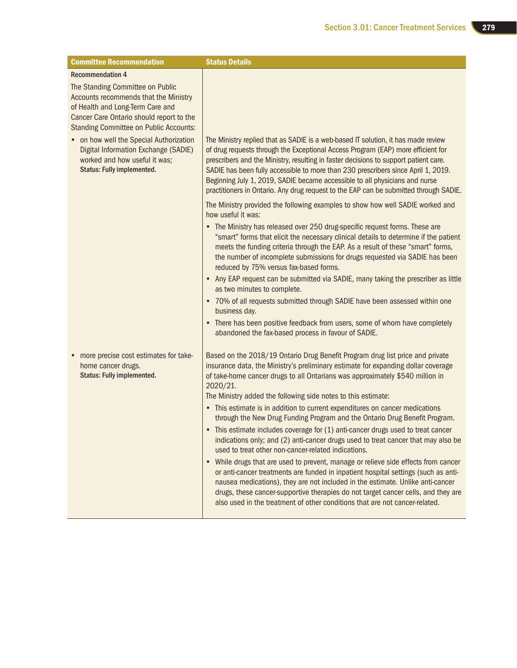| <b>Committee Recommendation</b>                                                                                                                                                                                                       | <b>Status Details</b>                                                                                                                                                                                                                                                                                                                                                                                                                                                                                                                                                                                                                                                                                                                                                                                                                                                                                                                                                                                                                                                                                                                                            |
|---------------------------------------------------------------------------------------------------------------------------------------------------------------------------------------------------------------------------------------|------------------------------------------------------------------------------------------------------------------------------------------------------------------------------------------------------------------------------------------------------------------------------------------------------------------------------------------------------------------------------------------------------------------------------------------------------------------------------------------------------------------------------------------------------------------------------------------------------------------------------------------------------------------------------------------------------------------------------------------------------------------------------------------------------------------------------------------------------------------------------------------------------------------------------------------------------------------------------------------------------------------------------------------------------------------------------------------------------------------------------------------------------------------|
| <b>Recommendation 4</b><br>The Standing Committee on Public<br>Accounts recommends that the Ministry<br>of Health and Long-Term Care and<br>Cancer Care Ontario should report to the<br><b>Standing Committee on Public Accounts:</b> |                                                                                                                                                                                                                                                                                                                                                                                                                                                                                                                                                                                                                                                                                                                                                                                                                                                                                                                                                                                                                                                                                                                                                                  |
| • on how well the Special Authorization<br>Digital Information Exchange (SADIE)<br>worked and how useful it was;<br><b>Status: Fully implemented.</b>                                                                                 | The Ministry replied that as SADIE is a web-based IT solution, it has made review<br>of drug requests through the Exceptional Access Program (EAP) more efficient for<br>prescribers and the Ministry, resulting in faster decisions to support patient care.<br>SADIE has been fully accessible to more than 230 prescribers since April 1, 2019.<br>Beginning July 1, 2019, SADIE became accessible to all physicians and nurse<br>practitioners in Ontario. Any drug request to the EAP can be submitted through SADIE.                                                                                                                                                                                                                                                                                                                                                                                                                                                                                                                                                                                                                                       |
|                                                                                                                                                                                                                                       | The Ministry provided the following examples to show how well SADIE worked and<br>how useful it was:<br>• The Ministry has released over 250 drug-specific request forms. These are<br>"smart" forms that elicit the necessary clinical details to determine if the patient<br>meets the funding criteria through the EAP. As a result of these "smart" forms,<br>the number of incomplete submissions for drugs requested via SADIE has been<br>reduced by 75% versus fax-based forms.<br>• Any EAP request can be submitted via SADIE, many taking the prescriber as little<br>as two minutes to complete.<br>• 70% of all requests submitted through SADIE have been assessed within one<br>business day.<br>• There has been positive feedback from users, some of whom have completely<br>abandoned the fax-based process in favour of SADIE.                                                                                                                                                                                                                                                                                                               |
| more precise cost estimates for take-<br>home cancer drugs.<br><b>Status: Fully implemented.</b>                                                                                                                                      | Based on the 2018/19 Ontario Drug Benefit Program drug list price and private<br>insurance data, the Ministry's preliminary estimate for expanding dollar coverage<br>of take-home cancer drugs to all Ontarians was approximately \$540 million in<br>2020/21.<br>The Ministry added the following side notes to this estimate:<br>• This estimate is in addition to current expenditures on cancer medications<br>through the New Drug Funding Program and the Ontario Drug Benefit Program.<br>• This estimate includes coverage for (1) anti-cancer drugs used to treat cancer<br>indications only; and (2) anti-cancer drugs used to treat cancer that may also be<br>used to treat other non-cancer-related indications.<br>• While drugs that are used to prevent, manage or relieve side effects from cancer<br>or anti-cancer treatments are funded in inpatient hospital settings (such as anti-<br>nausea medications), they are not included in the estimate. Unlike anti-cancer<br>drugs, these cancer-supportive therapies do not target cancer cells, and they are<br>also used in the treatment of other conditions that are not cancer-related. |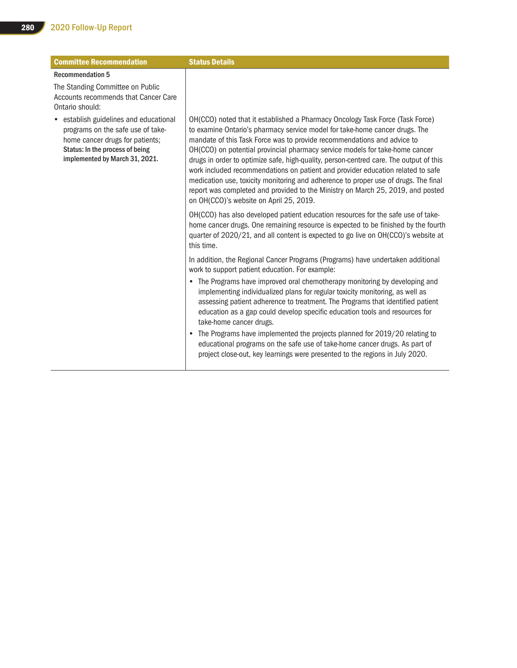| <b>Committee Recommendation</b>                                                                                                                                                   | <b>Status Details</b>                                                                                                                                                                                                                                                                                                                                                                                                                                                                                                                                                                                                                                                                                                     |
|-----------------------------------------------------------------------------------------------------------------------------------------------------------------------------------|---------------------------------------------------------------------------------------------------------------------------------------------------------------------------------------------------------------------------------------------------------------------------------------------------------------------------------------------------------------------------------------------------------------------------------------------------------------------------------------------------------------------------------------------------------------------------------------------------------------------------------------------------------------------------------------------------------------------------|
| <b>Recommendation 5</b><br>The Standing Committee on Public<br>Accounts recommends that Cancer Care<br>Ontario should:                                                            |                                                                                                                                                                                                                                                                                                                                                                                                                                                                                                                                                                                                                                                                                                                           |
| establish guidelines and educational<br>programs on the safe use of take-<br>home cancer drugs for patients;<br>Status: In the process of being<br>implemented by March 31, 2021. | OH(CCO) noted that it established a Pharmacy Oncology Task Force (Task Force)<br>to examine Ontario's pharmacy service model for take-home cancer drugs. The<br>mandate of this Task Force was to provide recommendations and advice to<br>OH(CCO) on potential provincial pharmacy service models for take-home cancer<br>drugs in order to optimize safe, high-quality, person-centred care. The output of this<br>work included recommendations on patient and provider education related to safe<br>medication use, toxicity monitoring and adherence to proper use of drugs. The final<br>report was completed and provided to the Ministry on March 25, 2019, and posted<br>on OH(CCO)'s website on April 25, 2019. |
|                                                                                                                                                                                   | OH(CCO) has also developed patient education resources for the safe use of take-<br>home cancer drugs. One remaining resource is expected to be finished by the fourth<br>quarter of 2020/21, and all content is expected to go live on OH(CCO)'s website at<br>this time.                                                                                                                                                                                                                                                                                                                                                                                                                                                |
|                                                                                                                                                                                   | In addition, the Regional Cancer Programs (Programs) have undertaken additional<br>work to support patient education. For example:                                                                                                                                                                                                                                                                                                                                                                                                                                                                                                                                                                                        |
|                                                                                                                                                                                   | • The Programs have improved oral chemotherapy monitoring by developing and<br>implementing individualized plans for regular toxicity monitoring, as well as<br>assessing patient adherence to treatment. The Programs that identified patient<br>education as a gap could develop specific education tools and resources for<br>take-home cancer drugs.                                                                                                                                                                                                                                                                                                                                                                  |
|                                                                                                                                                                                   | The Programs have implemented the projects planned for 2019/20 relating to<br>$\bullet$<br>educational programs on the safe use of take-home cancer drugs. As part of<br>project close-out, key learnings were presented to the regions in July 2020.                                                                                                                                                                                                                                                                                                                                                                                                                                                                     |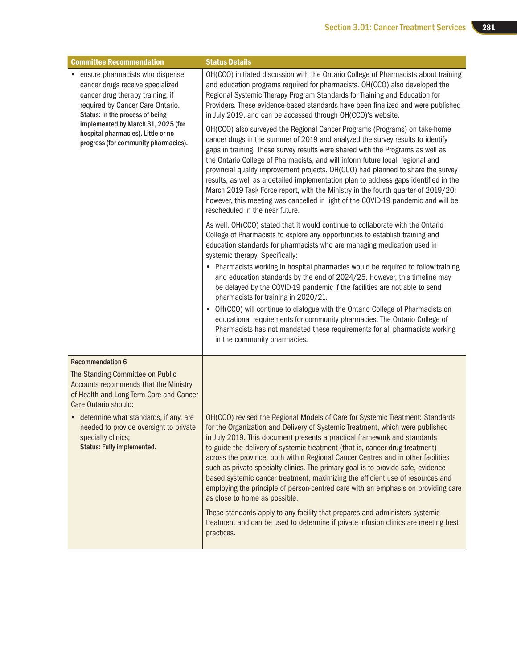| <b>Committee Recommendation</b>                                                                                                                                                                                                                                                                      | <b>Status Details</b>                                                                                                                                                                                                                                                                                                                                                                                                                                                                                                                                                                                                                                                                                                      |
|------------------------------------------------------------------------------------------------------------------------------------------------------------------------------------------------------------------------------------------------------------------------------------------------------|----------------------------------------------------------------------------------------------------------------------------------------------------------------------------------------------------------------------------------------------------------------------------------------------------------------------------------------------------------------------------------------------------------------------------------------------------------------------------------------------------------------------------------------------------------------------------------------------------------------------------------------------------------------------------------------------------------------------------|
| • ensure pharmacists who dispense<br>cancer drugs receive specialized<br>cancer drug therapy training, if<br>required by Cancer Care Ontario.<br>Status: In the process of being<br>implemented by March 31, 2025 (for<br>hospital pharmacies). Little or no<br>progress (for community pharmacies). | OH(CCO) initiated discussion with the Ontario College of Pharmacists about training<br>and education programs required for pharmacists. OH(CCO) also developed the<br>Regional Systemic Therapy Program Standards for Training and Education for<br>Providers. These evidence-based standards have been finalized and were published<br>in July 2019, and can be accessed through OH(CCO)'s website.                                                                                                                                                                                                                                                                                                                       |
|                                                                                                                                                                                                                                                                                                      | OH(CCO) also surveyed the Regional Cancer Programs (Programs) on take-home<br>cancer drugs in the summer of 2019 and analyzed the survey results to identify<br>gaps in training. These survey results were shared with the Programs as well as<br>the Ontario College of Pharmacists, and will inform future local, regional and<br>provincial quality improvement projects. OH(CCO) had planned to share the survey<br>results, as well as a detailed implementation plan to address gaps identified in the<br>March 2019 Task Force report, with the Ministry in the fourth quarter of 2019/20;<br>however, this meeting was cancelled in light of the COVID-19 pandemic and will be<br>rescheduled in the near future. |
|                                                                                                                                                                                                                                                                                                      | As well, OH(CCO) stated that it would continue to collaborate with the Ontario<br>College of Pharmacists to explore any opportunities to establish training and<br>education standards for pharmacists who are managing medication used in<br>systemic therapy. Specifically:                                                                                                                                                                                                                                                                                                                                                                                                                                              |
|                                                                                                                                                                                                                                                                                                      | • Pharmacists working in hospital pharmacies would be required to follow training<br>and education standards by the end of 2024/25. However, this timeline may<br>be delayed by the COVID-19 pandemic if the facilities are not able to send<br>pharmacists for training in 2020/21.                                                                                                                                                                                                                                                                                                                                                                                                                                       |
|                                                                                                                                                                                                                                                                                                      | • OH(CCO) will continue to dialogue with the Ontario College of Pharmacists on<br>educational requirements for community pharmacies. The Ontario College of<br>Pharmacists has not mandated these requirements for all pharmacists working<br>in the community pharmacies.                                                                                                                                                                                                                                                                                                                                                                                                                                                 |
| <b>Recommendation 6</b>                                                                                                                                                                                                                                                                              |                                                                                                                                                                                                                                                                                                                                                                                                                                                                                                                                                                                                                                                                                                                            |
| The Standing Committee on Public<br>Accounts recommends that the Ministry<br>of Health and Long-Term Care and Cancer<br>Care Ontario should:                                                                                                                                                         |                                                                                                                                                                                                                                                                                                                                                                                                                                                                                                                                                                                                                                                                                                                            |
| • determine what standards, if any, are<br>needed to provide oversight to private<br>specialty clinics;<br><b>Status: Fully implemented.</b>                                                                                                                                                         | OH(CCO) revised the Regional Models of Care for Systemic Treatment: Standards<br>for the Organization and Delivery of Systemic Treatment, which were published<br>in July 2019. This document presents a practical framework and standards<br>to guide the delivery of systemic treatment (that is, cancer drug treatment)<br>across the province, both within Regional Cancer Centres and in other facilities<br>such as private specialty clinics. The primary goal is to provide safe, evidence-<br>based systemic cancer treatment, maximizing the efficient use of resources and<br>employing the principle of person-centred care with an emphasis on providing care<br>as close to home as possible.                |
|                                                                                                                                                                                                                                                                                                      | These standards apply to any facility that prepares and administers systemic<br>treatment and can be used to determine if private infusion clinics are meeting best<br>practices.                                                                                                                                                                                                                                                                                                                                                                                                                                                                                                                                          |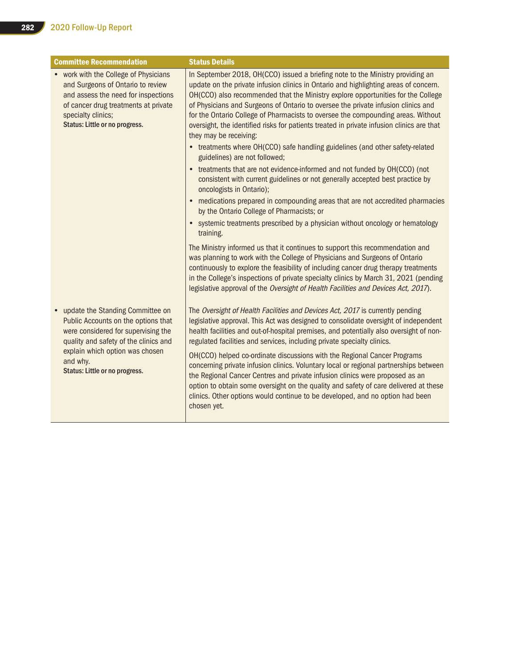| <b>Committee Recommendation</b>                                                                                                                                                                                                          | <b>Status Details</b>                                                                                                                                                                                                                                                                                                                                                                                                                                                                                                                                      |
|------------------------------------------------------------------------------------------------------------------------------------------------------------------------------------------------------------------------------------------|------------------------------------------------------------------------------------------------------------------------------------------------------------------------------------------------------------------------------------------------------------------------------------------------------------------------------------------------------------------------------------------------------------------------------------------------------------------------------------------------------------------------------------------------------------|
| • work with the College of Physicians<br>and Surgeons of Ontario to review<br>and assess the need for inspections<br>of cancer drug treatments at private<br>specialty clinics;<br>Status: Little or no progress.                        | In September 2018, OH(CCO) issued a briefing note to the Ministry providing an<br>update on the private infusion clinics in Ontario and highlighting areas of concern.<br>OH(CCO) also recommended that the Ministry explore opportunities for the College<br>of Physicians and Surgeons of Ontario to oversee the private infusion clinics and<br>for the Ontario College of Pharmacists to oversee the compounding areas. Without<br>oversight, the identified risks for patients treated in private infusion clinics are that<br>they may be receiving: |
|                                                                                                                                                                                                                                          | • treatments where OH(CCO) safe handling guidelines (and other safety-related<br>guidelines) are not followed;                                                                                                                                                                                                                                                                                                                                                                                                                                             |
|                                                                                                                                                                                                                                          | • treatments that are not evidence-informed and not funded by OH(CCO) (not<br>consistent with current guidelines or not generally accepted best practice by<br>oncologists in Ontario);                                                                                                                                                                                                                                                                                                                                                                    |
|                                                                                                                                                                                                                                          | medications prepared in compounding areas that are not accredited pharmacies<br>by the Ontario College of Pharmacists; or                                                                                                                                                                                                                                                                                                                                                                                                                                  |
|                                                                                                                                                                                                                                          | systemic treatments prescribed by a physician without oncology or hematology<br>$\bullet$<br>training.                                                                                                                                                                                                                                                                                                                                                                                                                                                     |
|                                                                                                                                                                                                                                          | The Ministry informed us that it continues to support this recommendation and<br>was planning to work with the College of Physicians and Surgeons of Ontario<br>continuously to explore the feasibility of including cancer drug therapy treatments<br>in the College's inspections of private specialty clinics by March 31, 2021 (pending<br>legislative approval of the Oversight of Health Facilities and Devices Act, 2017).                                                                                                                          |
| update the Standing Committee on<br>Public Accounts on the options that<br>were considered for supervising the<br>quality and safety of the clinics and<br>explain which option was chosen<br>and why.<br>Status: Little or no progress. | The Oversight of Health Facilities and Devices Act, 2017 is currently pending<br>legislative approval. This Act was designed to consolidate oversight of independent<br>health facilities and out-of-hospital premises, and potentially also oversight of non-<br>regulated facilities and services, including private specialty clinics.                                                                                                                                                                                                                  |
|                                                                                                                                                                                                                                          | OH(CCO) helped co-ordinate discussions with the Regional Cancer Programs<br>concerning private infusion clinics. Voluntary local or regional partnerships between<br>the Regional Cancer Centres and private infusion clinics were proposed as an<br>option to obtain some oversight on the quality and safety of care delivered at these<br>clinics. Other options would continue to be developed, and no option had been<br>chosen yet.                                                                                                                  |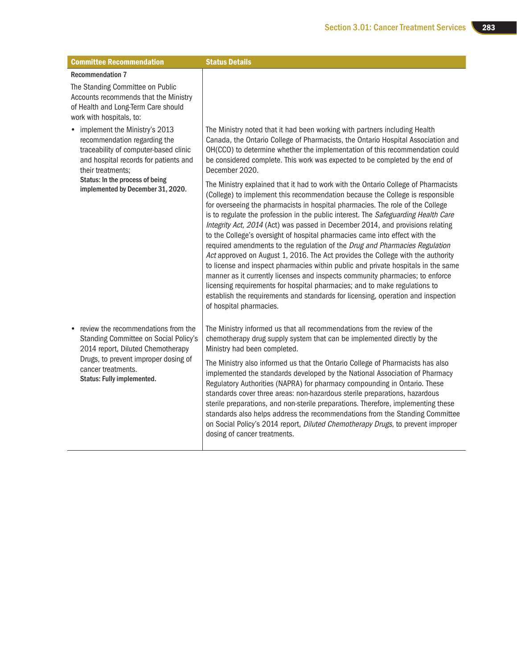| <b>Committee Recommendation</b>                                                                                                                                                                                 | <b>Status Details</b>                                                                                                                                                                                                                                                                                                                                                                                                                                                                                                                                                                                                                                                                                                                                                                                                                                                                                                                                                                                                                             |
|-----------------------------------------------------------------------------------------------------------------------------------------------------------------------------------------------------------------|---------------------------------------------------------------------------------------------------------------------------------------------------------------------------------------------------------------------------------------------------------------------------------------------------------------------------------------------------------------------------------------------------------------------------------------------------------------------------------------------------------------------------------------------------------------------------------------------------------------------------------------------------------------------------------------------------------------------------------------------------------------------------------------------------------------------------------------------------------------------------------------------------------------------------------------------------------------------------------------------------------------------------------------------------|
| <b>Recommendation 7</b>                                                                                                                                                                                         |                                                                                                                                                                                                                                                                                                                                                                                                                                                                                                                                                                                                                                                                                                                                                                                                                                                                                                                                                                                                                                                   |
| The Standing Committee on Public<br>Accounts recommends that the Ministry<br>of Health and Long-Term Care should<br>work with hospitals, to:                                                                    |                                                                                                                                                                                                                                                                                                                                                                                                                                                                                                                                                                                                                                                                                                                                                                                                                                                                                                                                                                                                                                                   |
| • implement the Ministry's 2013<br>recommendation regarding the<br>traceability of computer-based clinic<br>and hospital records for patients and<br>their treatments;                                          | The Ministry noted that it had been working with partners including Health<br>Canada, the Ontario College of Pharmacists, the Ontario Hospital Association and<br>OH(CCO) to determine whether the implementation of this recommendation could<br>be considered complete. This work was expected to be completed by the end of<br>December 2020.                                                                                                                                                                                                                                                                                                                                                                                                                                                                                                                                                                                                                                                                                                  |
| Status: In the process of being<br>implemented by December 31, 2020.                                                                                                                                            | The Ministry explained that it had to work with the Ontario College of Pharmacists<br>(College) to implement this recommendation because the College is responsible<br>for overseeing the pharmacists in hospital pharmacies. The role of the College<br>is to regulate the profession in the public interest. The Safeguarding Health Care<br>Integrity Act, 2014 (Act) was passed in December 2014, and provisions relating<br>to the College's oversight of hospital pharmacies came into effect with the<br>required amendments to the regulation of the Drug and Pharmacies Regulation<br>Act approved on August 1, 2016. The Act provides the College with the authority<br>to license and inspect pharmacies within public and private hospitals in the same<br>manner as it currently licenses and inspects community pharmacies; to enforce<br>licensing requirements for hospital pharmacies; and to make regulations to<br>establish the requirements and standards for licensing, operation and inspection<br>of hospital pharmacies. |
| • review the recommendations from the<br>Standing Committee on Social Policy's<br>2014 report, Diluted Chemotherapy<br>Drugs, to prevent improper dosing of<br>cancer treatments.<br>Status: Fully implemented. | The Ministry informed us that all recommendations from the review of the<br>chemotherapy drug supply system that can be implemented directly by the<br>Ministry had been completed.                                                                                                                                                                                                                                                                                                                                                                                                                                                                                                                                                                                                                                                                                                                                                                                                                                                               |
|                                                                                                                                                                                                                 | The Ministry also informed us that the Ontario College of Pharmacists has also<br>implemented the standards developed by the National Association of Pharmacy<br>Regulatory Authorities (NAPRA) for pharmacy compounding in Ontario. These<br>standards cover three areas: non-hazardous sterile preparations, hazardous<br>sterile preparations, and non-sterile preparations. Therefore, implementing these<br>standards also helps address the recommendations from the Standing Committee<br>on Social Policy's 2014 report, Diluted Chemotherapy Drugs, to prevent improper<br>dosing of cancer treatments.                                                                                                                                                                                                                                                                                                                                                                                                                                  |

H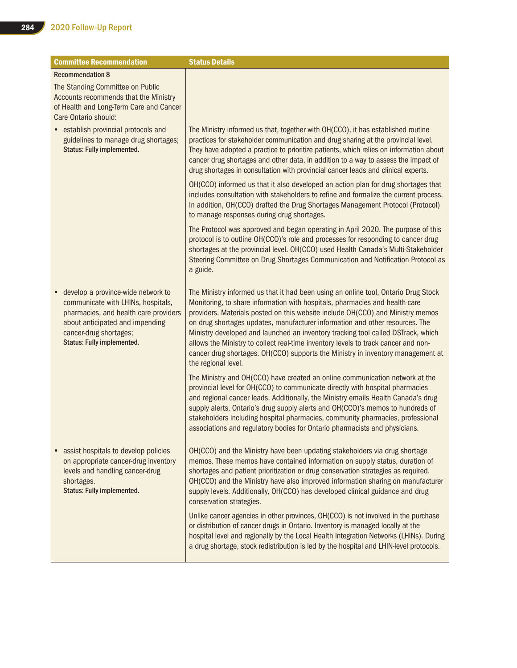| <b>Committee Recommendation</b>                                                                                                                                                                              | <b>Status Details</b>                                                                                                                                                                                                                                                                                                                                                                                                                                                                                                                                                                                                   |
|--------------------------------------------------------------------------------------------------------------------------------------------------------------------------------------------------------------|-------------------------------------------------------------------------------------------------------------------------------------------------------------------------------------------------------------------------------------------------------------------------------------------------------------------------------------------------------------------------------------------------------------------------------------------------------------------------------------------------------------------------------------------------------------------------------------------------------------------------|
| <b>Recommendation 8</b>                                                                                                                                                                                      |                                                                                                                                                                                                                                                                                                                                                                                                                                                                                                                                                                                                                         |
| The Standing Committee on Public<br>Accounts recommends that the Ministry<br>of Health and Long-Term Care and Cancer<br>Care Ontario should:                                                                 |                                                                                                                                                                                                                                                                                                                                                                                                                                                                                                                                                                                                                         |
| • establish provincial protocols and<br>guidelines to manage drug shortages;<br><b>Status: Fully implemented.</b>                                                                                            | The Ministry informed us that, together with OH(CCO), it has established routine<br>practices for stakeholder communication and drug sharing at the provincial level.<br>They have adopted a practice to prioritize patients, which relies on information about<br>cancer drug shortages and other data, in addition to a way to assess the impact of<br>drug shortages in consultation with provincial cancer leads and clinical experts.                                                                                                                                                                              |
|                                                                                                                                                                                                              | OH(CCO) informed us that it also developed an action plan for drug shortages that<br>includes consultation with stakeholders to refine and formalize the current process.<br>In addition, OH(CCO) drafted the Drug Shortages Management Protocol (Protocol)<br>to manage responses during drug shortages.                                                                                                                                                                                                                                                                                                               |
|                                                                                                                                                                                                              | The Protocol was approved and began operating in April 2020. The purpose of this<br>protocol is to outline OH(CCO)'s role and processes for responding to cancer drug<br>shortages at the provincial level. OH(CCO) used Health Canada's Multi-Stakeholder<br>Steering Committee on Drug Shortages Communication and Notification Protocol as<br>a guide.                                                                                                                                                                                                                                                               |
| develop a province-wide network to<br>communicate with LHINs, hospitals,<br>pharmacies, and health care providers<br>about anticipated and impending<br>cancer-drug shortages;<br>Status: Fully implemented. | The Ministry informed us that it had been using an online tool, Ontario Drug Stock<br>Monitoring, to share information with hospitals, pharmacies and health-care<br>providers. Materials posted on this website include OH(CCO) and Ministry memos<br>on drug shortages updates, manufacturer information and other resources. The<br>Ministry developed and launched an inventory tracking tool called DSTrack, which<br>allows the Ministry to collect real-time inventory levels to track cancer and non-<br>cancer drug shortages. OH(CCO) supports the Ministry in inventory management at<br>the regional level. |
|                                                                                                                                                                                                              | The Ministry and OH(CCO) have created an online communication network at the<br>provincial level for OH(CCO) to communicate directly with hospital pharmacies<br>and regional cancer leads. Additionally, the Ministry emails Health Canada's drug<br>supply alerts, Ontario's drug supply alerts and OH(CCO)'s memos to hundreds of<br>stakeholders including hospital pharmacies, community pharmacies, professional<br>associations and regulatory bodies for Ontario pharmacists and physicians.                                                                                                                    |
| assist hospitals to develop policies<br>on appropriate cancer-drug inventory<br>levels and handling cancer-drug<br>shortages.<br><b>Status: Fully implemented.</b>                                           | OH(CCO) and the Ministry have been updating stakeholders via drug shortage<br>memos. These memos have contained information on supply status, duration of<br>shortages and patient prioritization or drug conservation strategies as required.<br>OH(CCO) and the Ministry have also improved information sharing on manufacturer<br>supply levels. Additionally, OH(CCO) has developed clinical guidance and drug<br>conservation strategies.                                                                                                                                                                          |
|                                                                                                                                                                                                              | Unlike cancer agencies in other provinces, OH(CCO) is not involved in the purchase<br>or distribution of cancer drugs in Ontario. Inventory is managed locally at the<br>hospital level and regionally by the Local Health Integration Networks (LHINs). During<br>a drug shortage, stock redistribution is led by the hospital and LHIN-level protocols.                                                                                                                                                                                                                                                               |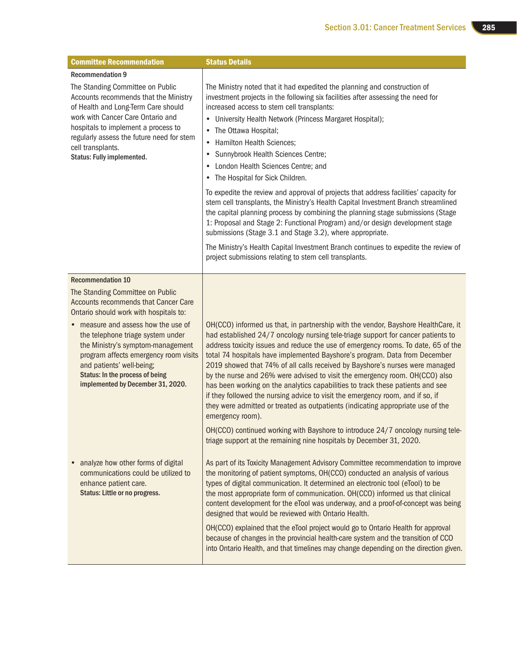| <b>Committee Recommendation</b>                                                                                                                                                                                                                                      | <b>Status Details</b>                                                                                                                                                                                                                                                                                                                                                                                                                                                                                                                                                                                                                                                                                                                                                              |
|----------------------------------------------------------------------------------------------------------------------------------------------------------------------------------------------------------------------------------------------------------------------|------------------------------------------------------------------------------------------------------------------------------------------------------------------------------------------------------------------------------------------------------------------------------------------------------------------------------------------------------------------------------------------------------------------------------------------------------------------------------------------------------------------------------------------------------------------------------------------------------------------------------------------------------------------------------------------------------------------------------------------------------------------------------------|
| <b>Recommendation 9</b><br>The Standing Committee on Public<br>Accounts recommends that the Ministry<br>of Health and Long-Term Care should<br>work with Cancer Care Ontario and<br>hospitals to implement a process to<br>regularly assess the future need for stem | The Ministry noted that it had expedited the planning and construction of<br>investment projects in the following six facilities after assessing the need for<br>increased access to stem cell transplants:<br>University Health Network (Princess Margaret Hospital);<br>٠<br>The Ottawa Hospital;                                                                                                                                                                                                                                                                                                                                                                                                                                                                                |
| cell transplants.<br>Status: Fully implemented.                                                                                                                                                                                                                      | Hamilton Health Sciences;<br>٠<br>Sunnybrook Health Sciences Centre;<br>٠<br>London Health Sciences Centre; and<br>$\bullet$<br>• The Hospital for Sick Children.                                                                                                                                                                                                                                                                                                                                                                                                                                                                                                                                                                                                                  |
|                                                                                                                                                                                                                                                                      | To expedite the review and approval of projects that address facilities' capacity for<br>stem cell transplants, the Ministry's Health Capital Investment Branch streamlined<br>the capital planning process by combining the planning stage submissions (Stage<br>1: Proposal and Stage 2: Functional Program) and/or design development stage<br>submissions (Stage 3.1 and Stage 3.2), where appropriate.                                                                                                                                                                                                                                                                                                                                                                        |
|                                                                                                                                                                                                                                                                      | The Ministry's Health Capital Investment Branch continues to expedite the review of<br>project submissions relating to stem cell transplants.                                                                                                                                                                                                                                                                                                                                                                                                                                                                                                                                                                                                                                      |
| <b>Recommendation 10</b>                                                                                                                                                                                                                                             |                                                                                                                                                                                                                                                                                                                                                                                                                                                                                                                                                                                                                                                                                                                                                                                    |
| The Standing Committee on Public<br><b>Accounts recommends that Cancer Care</b><br>Ontario should work with hospitals to:                                                                                                                                            |                                                                                                                                                                                                                                                                                                                                                                                                                                                                                                                                                                                                                                                                                                                                                                                    |
| measure and assess how the use of<br>the telephone triage system under<br>the Ministry's symptom-management<br>program affects emergency room visits<br>and patients' well-being;<br>Status: In the process of being<br>implemented by December 31, 2020.            | OH(CCO) informed us that, in partnership with the vendor, Bayshore HealthCare, it<br>had established 24/7 oncology nursing tele-triage support for cancer patients to<br>address toxicity issues and reduce the use of emergency rooms. To date, 65 of the<br>total 74 hospitals have implemented Bayshore's program. Data from December<br>2019 showed that 74% of all calls received by Bayshore's nurses were managed<br>by the nurse and 26% were advised to visit the emergency room. OH(CCO) also<br>has been working on the analytics capabilities to track these patients and see<br>if they followed the nursing advice to visit the emergency room, and if so, if<br>they were admitted or treated as outpatients (indicating appropriate use of the<br>emergency room). |
|                                                                                                                                                                                                                                                                      | OH(CCO) continued working with Bayshore to introduce 24/7 oncology nursing tele-<br>triage support at the remaining nine hospitals by December 31, 2020.                                                                                                                                                                                                                                                                                                                                                                                                                                                                                                                                                                                                                           |
| analyze how other forms of digital<br>communications could be utilized to<br>enhance patient care.<br>Status: Little or no progress.                                                                                                                                 | As part of its Toxicity Management Advisory Committee recommendation to improve<br>the monitoring of patient symptoms, OH(CCO) conducted an analysis of various<br>types of digital communication. It determined an electronic tool (eTool) to be<br>the most appropriate form of communication. OH(CCO) informed us that clinical<br>content development for the eTool was underway, and a proof-of-concept was being<br>designed that would be reviewed with Ontario Health.                                                                                                                                                                                                                                                                                                     |
|                                                                                                                                                                                                                                                                      | OH(CCO) explained that the eTool project would go to Ontario Health for approval<br>because of changes in the provincial health-care system and the transition of CCO<br>into Ontario Health, and that timelines may change depending on the direction given.                                                                                                                                                                                                                                                                                                                                                                                                                                                                                                                      |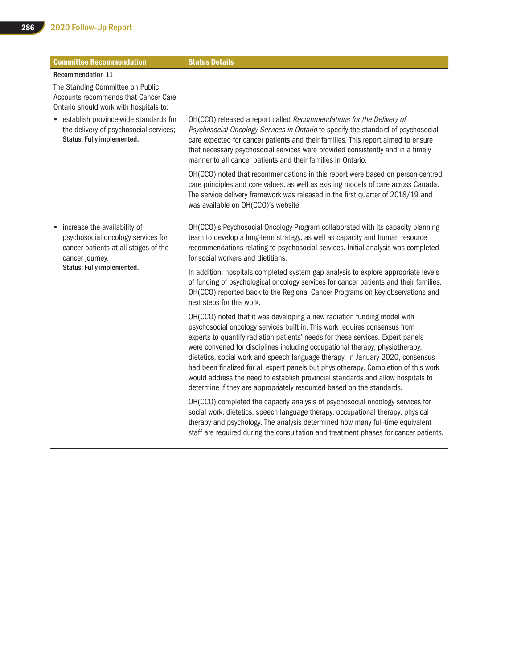| <b>Committee Recommendation</b>                                                                                                                             | <b>Status Details</b>                                                                                                                                                                                                                                                                                                                                                                                                                                                                                                                                                                                                                                         |
|-------------------------------------------------------------------------------------------------------------------------------------------------------------|---------------------------------------------------------------------------------------------------------------------------------------------------------------------------------------------------------------------------------------------------------------------------------------------------------------------------------------------------------------------------------------------------------------------------------------------------------------------------------------------------------------------------------------------------------------------------------------------------------------------------------------------------------------|
| <b>Recommendation 11</b>                                                                                                                                    |                                                                                                                                                                                                                                                                                                                                                                                                                                                                                                                                                                                                                                                               |
| The Standing Committee on Public<br>Accounts recommends that Cancer Care<br>Ontario should work with hospitals to:                                          |                                                                                                                                                                                                                                                                                                                                                                                                                                                                                                                                                                                                                                                               |
| • establish province-wide standards for<br>the delivery of psychosocial services;<br>Status: Fully implemented.                                             | OH(CCO) released a report called Recommendations for the Delivery of<br>Psychosocial Oncology Services in Ontario to specify the standard of psychosocial<br>care expected for cancer patients and their families. This report aimed to ensure<br>that necessary psychosocial services were provided consistently and in a timely<br>manner to all cancer patients and their families in Ontario.                                                                                                                                                                                                                                                             |
|                                                                                                                                                             | OH(CCO) noted that recommendations in this report were based on person-centred<br>care principles and core values, as well as existing models of care across Canada.<br>The service delivery framework was released in the first quarter of 2018/19 and<br>was available on OH(CCO)'s website.                                                                                                                                                                                                                                                                                                                                                                |
| increase the availability of<br>psychosocial oncology services for<br>cancer patients at all stages of the<br>cancer journey.<br>Status: Fully implemented. | OH(CCO)'s Psychosocial Oncology Program collaborated with its capacity planning<br>team to develop a long-term strategy, as well as capacity and human resource<br>recommendations relating to psychosocial services. Initial analysis was completed<br>for social workers and dietitians.                                                                                                                                                                                                                                                                                                                                                                    |
|                                                                                                                                                             | In addition, hospitals completed system gap analysis to explore appropriate levels<br>of funding of psychological oncology services for cancer patients and their families.<br>OH(CCO) reported back to the Regional Cancer Programs on key observations and<br>next steps for this work.                                                                                                                                                                                                                                                                                                                                                                     |
|                                                                                                                                                             | OH(CCO) noted that it was developing a new radiation funding model with<br>psychosocial oncology services built in. This work requires consensus from<br>experts to quantify radiation patients' needs for these services. Expert panels<br>were convened for disciplines including occupational therapy, physiotherapy,<br>dietetics, social work and speech language therapy. In January 2020, consensus<br>had been finalized for all expert panels but physiotherapy. Completion of this work<br>would address the need to establish provincial standards and allow hospitals to<br>determine if they are appropriately resourced based on the standards. |
|                                                                                                                                                             | OH(CCO) completed the capacity analysis of psychosocial oncology services for<br>social work, dietetics, speech language therapy, occupational therapy, physical<br>therapy and psychology. The analysis determined how many full-time equivalent<br>staff are required during the consultation and treatment phases for cancer patients.                                                                                                                                                                                                                                                                                                                     |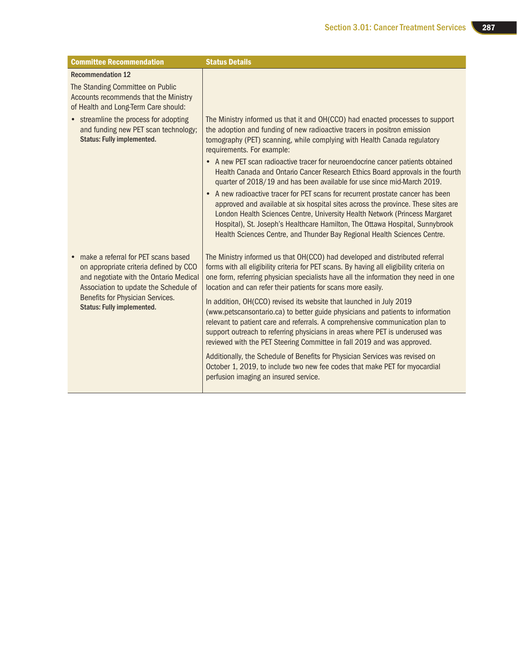| <b>Committee Recommendation</b>                                                                                                                                                                                                           | <b>Status Details</b>                                                                                                                                                                                                                                                                                                                                                                                           |
|-------------------------------------------------------------------------------------------------------------------------------------------------------------------------------------------------------------------------------------------|-----------------------------------------------------------------------------------------------------------------------------------------------------------------------------------------------------------------------------------------------------------------------------------------------------------------------------------------------------------------------------------------------------------------|
| <b>Recommendation 12</b>                                                                                                                                                                                                                  |                                                                                                                                                                                                                                                                                                                                                                                                                 |
| The Standing Committee on Public<br>Accounts recommends that the Ministry<br>of Health and Long-Term Care should:                                                                                                                         |                                                                                                                                                                                                                                                                                                                                                                                                                 |
| • streamline the process for adopting<br>and funding new PET scan technology;<br><b>Status: Fully implemented.</b>                                                                                                                        | The Ministry informed us that it and OH(CCO) had enacted processes to support<br>the adoption and funding of new radioactive tracers in positron emission<br>tomography (PET) scanning, while complying with Health Canada regulatory<br>requirements. For example:                                                                                                                                             |
|                                                                                                                                                                                                                                           | • A new PET scan radioactive tracer for neuroendocrine cancer patients obtained<br>Health Canada and Ontario Cancer Research Ethics Board approvals in the fourth<br>quarter of 2018/19 and has been available for use since mid-March 2019.                                                                                                                                                                    |
|                                                                                                                                                                                                                                           | • A new radioactive tracer for PET scans for recurrent prostate cancer has been<br>approved and available at six hospital sites across the province. These sites are<br>London Health Sciences Centre, University Health Network (Princess Margaret<br>Hospital), St. Joseph's Healthcare Hamilton, The Ottawa Hospital, Sunnybrook<br>Health Sciences Centre, and Thunder Bay Regional Health Sciences Centre. |
| make a referral for PET scans based<br>on appropriate criteria defined by CCO<br>and negotiate with the Ontario Medical<br>Association to update the Schedule of<br>Benefits for Physician Services.<br><b>Status: Fully implemented.</b> | The Ministry informed us that OH(CCO) had developed and distributed referral<br>forms with all eligibility criteria for PET scans. By having all eligibility criteria on<br>one form, referring physician specialists have all the information they need in one<br>location and can refer their patients for scans more easily.                                                                                 |
|                                                                                                                                                                                                                                           | In addition, OH(CCO) revised its website that launched in July 2019<br>(www.petscansontario.ca) to better guide physicians and patients to information<br>relevant to patient care and referrals. A comprehensive communication plan to<br>support outreach to referring physicians in areas where PET is underused was<br>reviewed with the PET Steering Committee in fall 2019 and was approved.              |
|                                                                                                                                                                                                                                           | Additionally, the Schedule of Benefits for Physician Services was revised on<br>October 1, 2019, to include two new fee codes that make PET for myocardial<br>perfusion imaging an insured service.                                                                                                                                                                                                             |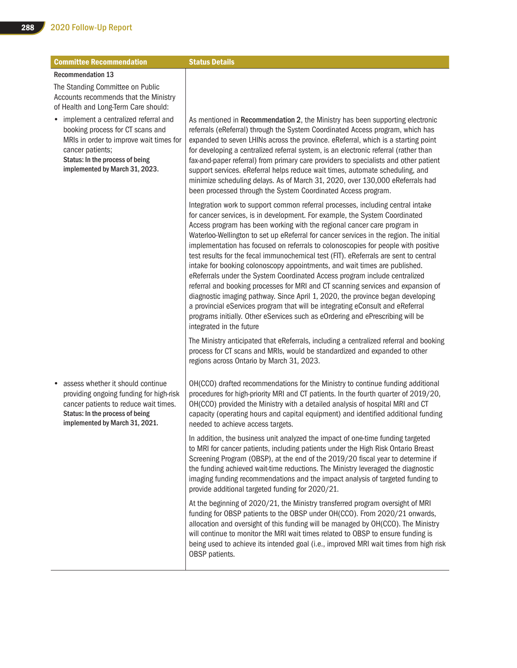| <b>Committee Recommendation</b>                                                                                                                                                                                           | <b>Status Details</b>                                                                                                                                                                                                                                                                                                                                                                                                                                                                                                                                                                                                                                                                                                                                                                                                                                                                                                                                                                                                                               |
|---------------------------------------------------------------------------------------------------------------------------------------------------------------------------------------------------------------------------|-----------------------------------------------------------------------------------------------------------------------------------------------------------------------------------------------------------------------------------------------------------------------------------------------------------------------------------------------------------------------------------------------------------------------------------------------------------------------------------------------------------------------------------------------------------------------------------------------------------------------------------------------------------------------------------------------------------------------------------------------------------------------------------------------------------------------------------------------------------------------------------------------------------------------------------------------------------------------------------------------------------------------------------------------------|
| <b>Recommendation 13</b>                                                                                                                                                                                                  |                                                                                                                                                                                                                                                                                                                                                                                                                                                                                                                                                                                                                                                                                                                                                                                                                                                                                                                                                                                                                                                     |
| The Standing Committee on Public<br>Accounts recommends that the Ministry<br>of Health and Long-Term Care should:                                                                                                         |                                                                                                                                                                                                                                                                                                                                                                                                                                                                                                                                                                                                                                                                                                                                                                                                                                                                                                                                                                                                                                                     |
| implement a centralized referral and<br>$\bullet$<br>booking process for CT scans and<br>MRIs in order to improve wait times for<br>cancer patients;<br>Status: In the process of being<br>implemented by March 31, 2023. | As mentioned in Recommendation 2, the Ministry has been supporting electronic<br>referrals (eReferral) through the System Coordinated Access program, which has<br>expanded to seven LHINs across the province. eReferral, which is a starting point<br>for developing a centralized referral system, is an electronic referral (rather than<br>fax-and-paper referral) from primary care providers to specialists and other patient<br>support services. eReferral helps reduce wait times, automate scheduling, and<br>minimize scheduling delays. As of March 31, 2020, over 130,000 eReferrals had<br>been processed through the System Coordinated Access program.                                                                                                                                                                                                                                                                                                                                                                             |
|                                                                                                                                                                                                                           | Integration work to support common referral processes, including central intake<br>for cancer services, is in development. For example, the System Coordinated<br>Access program has been working with the regional cancer care program in<br>Waterloo-Wellington to set up eReferral for cancer services in the region. The initial<br>implementation has focused on referrals to colonoscopies for people with positive<br>test results for the fecal immunochemical test (FIT). eReferrals are sent to central<br>intake for booking colonoscopy appointments, and wait times are published.<br>eReferrals under the System Coordinated Access program include centralized<br>referral and booking processes for MRI and CT scanning services and expansion of<br>diagnostic imaging pathway. Since April 1, 2020, the province began developing<br>a provincial eServices program that will be integrating eConsult and eReferral<br>programs initially. Other eServices such as eOrdering and ePrescribing will be<br>integrated in the future |
|                                                                                                                                                                                                                           | The Ministry anticipated that eReferrals, including a centralized referral and booking<br>process for CT scans and MRIs, would be standardized and expanded to other<br>regions across Ontario by March 31, 2023.                                                                                                                                                                                                                                                                                                                                                                                                                                                                                                                                                                                                                                                                                                                                                                                                                                   |
| assess whether it should continue<br>providing ongoing funding for high-risk<br>cancer patients to reduce wait times.<br>Status: In the process of being<br>implemented by March 31, 2021.                                | OH(CCO) drafted recommendations for the Ministry to continue funding additional<br>procedures for high-priority MRI and CT patients. In the fourth quarter of 2019/20,<br>OH(CCO) provided the Ministry with a detailed analysis of hospital MRI and CT<br>capacity (operating hours and capital equipment) and identified additional funding<br>needed to achieve access targets.                                                                                                                                                                                                                                                                                                                                                                                                                                                                                                                                                                                                                                                                  |
|                                                                                                                                                                                                                           | In addition, the business unit analyzed the impact of one-time funding targeted<br>to MRI for cancer patients, including patients under the High Risk Ontario Breast<br>Screening Program (OBSP), at the end of the 2019/20 fiscal year to determine if<br>the funding achieved wait-time reductions. The Ministry leveraged the diagnostic<br>imaging funding recommendations and the impact analysis of targeted funding to<br>provide additional targeted funding for 2020/21.                                                                                                                                                                                                                                                                                                                                                                                                                                                                                                                                                                   |
|                                                                                                                                                                                                                           | At the beginning of 2020/21, the Ministry transferred program oversight of MRI<br>funding for OBSP patients to the OBSP under OH(CCO). From 2020/21 onwards,<br>allocation and oversight of this funding will be managed by OH(CCO). The Ministry<br>will continue to monitor the MRI wait times related to OBSP to ensure funding is<br>being used to achieve its intended goal (i.e., improved MRI wait times from high risk<br>OBSP patients.                                                                                                                                                                                                                                                                                                                                                                                                                                                                                                                                                                                                    |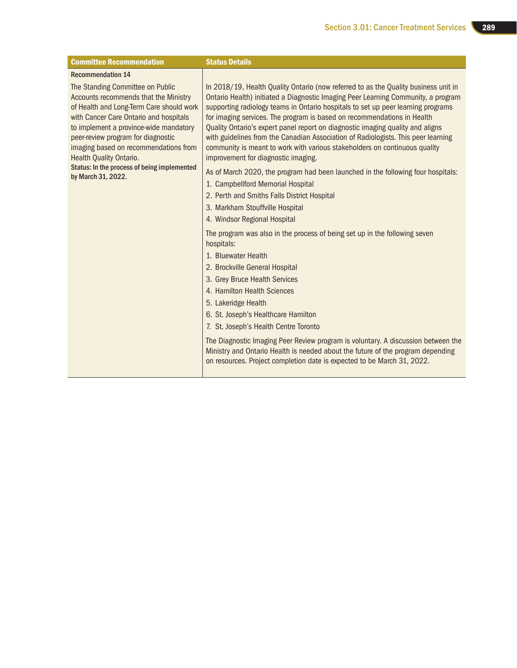| <b>Committee Recommendation</b>                                                                                                                                                                                                                                                                                                                                                                 | <b>Status Details</b>                                                                                                                                                                                                                                                                                                                                                                                                                                                                                                                                                                                                               |
|-------------------------------------------------------------------------------------------------------------------------------------------------------------------------------------------------------------------------------------------------------------------------------------------------------------------------------------------------------------------------------------------------|-------------------------------------------------------------------------------------------------------------------------------------------------------------------------------------------------------------------------------------------------------------------------------------------------------------------------------------------------------------------------------------------------------------------------------------------------------------------------------------------------------------------------------------------------------------------------------------------------------------------------------------|
| <b>Recommendation 14</b>                                                                                                                                                                                                                                                                                                                                                                        |                                                                                                                                                                                                                                                                                                                                                                                                                                                                                                                                                                                                                                     |
| The Standing Committee on Public<br><b>Accounts recommends that the Ministry</b><br>of Health and Long-Term Care should work<br>with Cancer Care Ontario and hospitals<br>to implement a province-wide mandatory<br>peer-review program for diagnostic<br>imaging based on recommendations from<br>Health Quality Ontario.<br>Status: In the process of being implemented<br>by March 31, 2022. | In 2018/19, Health Quality Ontario (now referred to as the Quality business unit in<br>Ontario Health) initiated a Diagnostic Imaging Peer Learning Community, a program<br>supporting radiology teams in Ontario hospitals to set up peer learning programs<br>for imaging services. The program is based on recommendations in Health<br>Quality Ontario's expert panel report on diagnostic imaging quality and aligns<br>with guidelines from the Canadian Association of Radiologists. This peer learning<br>community is meant to work with various stakeholders on continuous quality<br>improvement for diagnostic imaging. |
|                                                                                                                                                                                                                                                                                                                                                                                                 | As of March 2020, the program had been launched in the following four hospitals:<br>1. Campbellford Memorial Hospital                                                                                                                                                                                                                                                                                                                                                                                                                                                                                                               |
|                                                                                                                                                                                                                                                                                                                                                                                                 | 2. Perth and Smiths Falls District Hospital                                                                                                                                                                                                                                                                                                                                                                                                                                                                                                                                                                                         |
|                                                                                                                                                                                                                                                                                                                                                                                                 | 3. Markham Stouffville Hospital                                                                                                                                                                                                                                                                                                                                                                                                                                                                                                                                                                                                     |
|                                                                                                                                                                                                                                                                                                                                                                                                 | 4. Windsor Regional Hospital                                                                                                                                                                                                                                                                                                                                                                                                                                                                                                                                                                                                        |
|                                                                                                                                                                                                                                                                                                                                                                                                 | The program was also in the process of being set up in the following seven<br>hospitals:                                                                                                                                                                                                                                                                                                                                                                                                                                                                                                                                            |
|                                                                                                                                                                                                                                                                                                                                                                                                 | 1. Bluewater Health                                                                                                                                                                                                                                                                                                                                                                                                                                                                                                                                                                                                                 |
|                                                                                                                                                                                                                                                                                                                                                                                                 | 2. Brockville General Hospital                                                                                                                                                                                                                                                                                                                                                                                                                                                                                                                                                                                                      |
|                                                                                                                                                                                                                                                                                                                                                                                                 | 3. Grey Bruce Health Services                                                                                                                                                                                                                                                                                                                                                                                                                                                                                                                                                                                                       |
|                                                                                                                                                                                                                                                                                                                                                                                                 | 4. Hamilton Health Sciences                                                                                                                                                                                                                                                                                                                                                                                                                                                                                                                                                                                                         |
|                                                                                                                                                                                                                                                                                                                                                                                                 | 5. Lakeridge Health                                                                                                                                                                                                                                                                                                                                                                                                                                                                                                                                                                                                                 |
|                                                                                                                                                                                                                                                                                                                                                                                                 | 6. St. Joseph's Healthcare Hamilton<br>7. St. Joseph's Health Centre Toronto                                                                                                                                                                                                                                                                                                                                                                                                                                                                                                                                                        |
|                                                                                                                                                                                                                                                                                                                                                                                                 |                                                                                                                                                                                                                                                                                                                                                                                                                                                                                                                                                                                                                                     |
|                                                                                                                                                                                                                                                                                                                                                                                                 | The Diagnostic Imaging Peer Review program is voluntary. A discussion between the<br>Ministry and Ontario Health is needed about the future of the program depending<br>on resources. Project completion date is expected to be March 31, 2022.                                                                                                                                                                                                                                                                                                                                                                                     |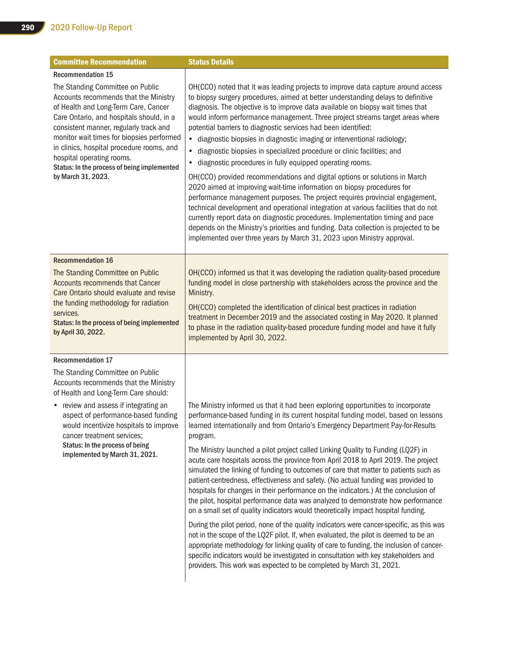| <b>Committee Recommendation</b>                                                                                                                                                                                                                                                                                                                                                                     | <b>Status Details</b>                                                                                                                                                                                                                                                                                                                                                                                                                                                                                                                                                                                                                                                                                                                                                                                                                                                                                                                                                                                                                                                                                                                                                                                                                                                                                                                         |
|-----------------------------------------------------------------------------------------------------------------------------------------------------------------------------------------------------------------------------------------------------------------------------------------------------------------------------------------------------------------------------------------------------|-----------------------------------------------------------------------------------------------------------------------------------------------------------------------------------------------------------------------------------------------------------------------------------------------------------------------------------------------------------------------------------------------------------------------------------------------------------------------------------------------------------------------------------------------------------------------------------------------------------------------------------------------------------------------------------------------------------------------------------------------------------------------------------------------------------------------------------------------------------------------------------------------------------------------------------------------------------------------------------------------------------------------------------------------------------------------------------------------------------------------------------------------------------------------------------------------------------------------------------------------------------------------------------------------------------------------------------------------|
| <b>Recommendation 15</b>                                                                                                                                                                                                                                                                                                                                                                            |                                                                                                                                                                                                                                                                                                                                                                                                                                                                                                                                                                                                                                                                                                                                                                                                                                                                                                                                                                                                                                                                                                                                                                                                                                                                                                                                               |
| The Standing Committee on Public<br>Accounts recommends that the Ministry<br>of Health and Long-Term Care, Cancer<br>Care Ontario, and hospitals should, in a<br>consistent manner, regularly track and<br>monitor wait times for biopsies performed<br>in clinics, hospital procedure rooms, and<br>hospital operating rooms.<br>Status: In the process of being implemented<br>by March 31, 2023. | OH(CCO) noted that it was leading projects to improve data capture around access<br>to biopsy surgery procedures, aimed at better understanding delays to definitive<br>diagnosis. The objective is to improve data available on biopsy wait times that<br>would inform performance management. Three project streams target areas where<br>potential barriers to diagnostic services had been identified:<br>· diagnostic biopsies in diagnostic imaging or interventional radiology;<br>diagnostic biopsies in specialized procedure or clinic facilities; and<br>$\bullet$<br>diagnostic procedures in fully equipped operating rooms.<br>$\bullet$<br>OH(CCO) provided recommendations and digital options or solutions in March<br>2020 aimed at improving wait-time information on biopsy procedures for<br>performance management purposes. The project requires provincial engagement,<br>technical development and operational integration at various facilities that do not<br>currently report data on diagnostic procedures. Implementation timing and pace<br>depends on the Ministry's priorities and funding. Data collection is projected to be<br>implemented over three years by March 31, 2023 upon Ministry approval.                                                                                                     |
| <b>Recommendation 16</b>                                                                                                                                                                                                                                                                                                                                                                            |                                                                                                                                                                                                                                                                                                                                                                                                                                                                                                                                                                                                                                                                                                                                                                                                                                                                                                                                                                                                                                                                                                                                                                                                                                                                                                                                               |
| The Standing Committee on Public<br><b>Accounts recommends that Cancer</b><br>Care Ontario should evaluate and revise<br>the funding methodology for radiation<br>services.<br>Status: In the process of being implemented<br>by April 30, 2022.                                                                                                                                                    | OH(CCO) informed us that it was developing the radiation quality-based procedure<br>funding model in close partnership with stakeholders across the province and the<br>Ministry.<br>OH(CCO) completed the identification of clinical best practices in radiation<br>treatment in December 2019 and the associated costing in May 2020. It planned<br>to phase in the radiation quality-based procedure funding model and have it fully<br>implemented by April 30, 2022.                                                                                                                                                                                                                                                                                                                                                                                                                                                                                                                                                                                                                                                                                                                                                                                                                                                                     |
| <b>Recommendation 17</b>                                                                                                                                                                                                                                                                                                                                                                            |                                                                                                                                                                                                                                                                                                                                                                                                                                                                                                                                                                                                                                                                                                                                                                                                                                                                                                                                                                                                                                                                                                                                                                                                                                                                                                                                               |
| The Standing Committee on Public<br>Accounts recommends that the Ministry<br>of Health and Long-Term Care should:                                                                                                                                                                                                                                                                                   |                                                                                                                                                                                                                                                                                                                                                                                                                                                                                                                                                                                                                                                                                                                                                                                                                                                                                                                                                                                                                                                                                                                                                                                                                                                                                                                                               |
| • review and assess if integrating an<br>aspect of performance-based funding<br>would incentivize hospitals to improve<br>cancer treatment services;<br>Status: In the process of being<br>implemented by March 31, 2021.                                                                                                                                                                           | The Ministry informed us that it had been exploring opportunities to incorporate<br>performance-based funding in its current hospital funding model, based on lessons<br>learned internationally and from Ontario's Emergency Department Pay-for-Results<br>program.<br>The Ministry launched a pilot project called Linking Quality to Funding (LQ2F) in<br>acute care hospitals across the province from April 2018 to April 2019. The project<br>simulated the linking of funding to outcomes of care that matter to patients such as<br>patient-centredness, effectiveness and safety. (No actual funding was provided to<br>hospitals for changes in their performance on the indicators.) At the conclusion of<br>the pilot, hospital performance data was analyzed to demonstrate how performance<br>on a small set of quality indicators would theoretically impact hospital funding.<br>During the pilot period, none of the quality indicators were cancer-specific, as this was<br>not in the scope of the LQ2F pilot. If, when evaluated, the pilot is deemed to be an<br>appropriate methodology for linking quality of care to funding, the inclusion of cancer-<br>specific indicators would be investigated in consultation with key stakeholders and<br>providers. This work was expected to be completed by March 31, 2021. |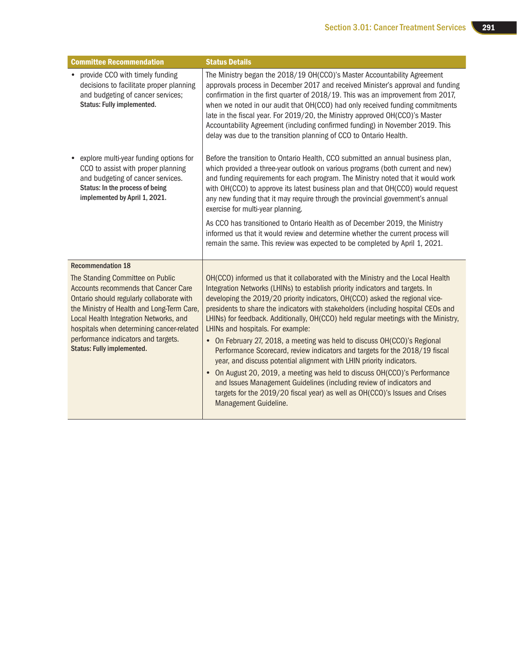| <b>Committee Recommendation</b>                                                                                                                                                                                                                                                                                                               | <b>Status Details</b>                                                                                                                                                                                                                                                                                                                                                                                                                                                                                                                                                                                                                                                                                                                                                                                                                                                                                                                                                        |
|-----------------------------------------------------------------------------------------------------------------------------------------------------------------------------------------------------------------------------------------------------------------------------------------------------------------------------------------------|------------------------------------------------------------------------------------------------------------------------------------------------------------------------------------------------------------------------------------------------------------------------------------------------------------------------------------------------------------------------------------------------------------------------------------------------------------------------------------------------------------------------------------------------------------------------------------------------------------------------------------------------------------------------------------------------------------------------------------------------------------------------------------------------------------------------------------------------------------------------------------------------------------------------------------------------------------------------------|
| • provide CCO with timely funding<br>decisions to facilitate proper planning<br>and budgeting of cancer services;<br>Status: Fully implemented.                                                                                                                                                                                               | The Ministry began the 2018/19 OH(CCO)'s Master Accountability Agreement<br>approvals process in December 2017 and received Minister's approval and funding<br>confirmation in the first quarter of 2018/19. This was an improvement from 2017,<br>when we noted in our audit that OH(CCO) had only received funding commitments<br>late in the fiscal year. For 2019/20, the Ministry approved OH(CCO)'s Master<br>Accountability Agreement (including confirmed funding) in November 2019. This<br>delay was due to the transition planning of CCO to Ontario Health.                                                                                                                                                                                                                                                                                                                                                                                                      |
| • explore multi-year funding options for<br>CCO to assist with proper planning<br>and budgeting of cancer services.<br>Status: In the process of being<br>implemented by April 1, 2021.                                                                                                                                                       | Before the transition to Ontario Health, CCO submitted an annual business plan,<br>which provided a three-year outlook on various programs (both current and new)<br>and funding requirements for each program. The Ministry noted that it would work<br>with OH(CCO) to approve its latest business plan and that OH(CCO) would request<br>any new funding that it may require through the provincial government's annual<br>exercise for multi-year planning.                                                                                                                                                                                                                                                                                                                                                                                                                                                                                                              |
|                                                                                                                                                                                                                                                                                                                                               | As CCO has transitioned to Ontario Health as of December 2019, the Ministry<br>informed us that it would review and determine whether the current process will<br>remain the same. This review was expected to be completed by April 1, 2021.                                                                                                                                                                                                                                                                                                                                                                                                                                                                                                                                                                                                                                                                                                                                |
| <b>Recommendation 18</b>                                                                                                                                                                                                                                                                                                                      |                                                                                                                                                                                                                                                                                                                                                                                                                                                                                                                                                                                                                                                                                                                                                                                                                                                                                                                                                                              |
| The Standing Committee on Public<br><b>Accounts recommends that Cancer Care</b><br>Ontario should regularly collaborate with<br>the Ministry of Health and Long-Term Care,<br>Local Health Integration Networks, and<br>hospitals when determining cancer-related<br>performance indicators and targets.<br><b>Status: Fully implemented.</b> | OH(CCO) informed us that it collaborated with the Ministry and the Local Health<br>Integration Networks (LHINs) to establish priority indicators and targets. In<br>developing the 2019/20 priority indicators, OH(CCO) asked the regional vice-<br>presidents to share the indicators with stakeholders (including hospital CEOs and<br>LHINs) for feedback. Additionally, OH(CCO) held regular meetings with the Ministry,<br>LHINs and hospitals. For example:<br>• On February 27, 2018, a meeting was held to discuss OH(CCO)'s Regional<br>Performance Scorecard, review indicators and targets for the 2018/19 fiscal<br>year, and discuss potential alignment with LHIN priority indicators.<br>On August 20, 2019, a meeting was held to discuss OH(CCO)'s Performance<br>$\bullet$<br>and Issues Management Guidelines (including review of indicators and<br>targets for the 2019/20 fiscal year) as well as OH(CCO)'s Issues and Crises<br>Management Guideline. |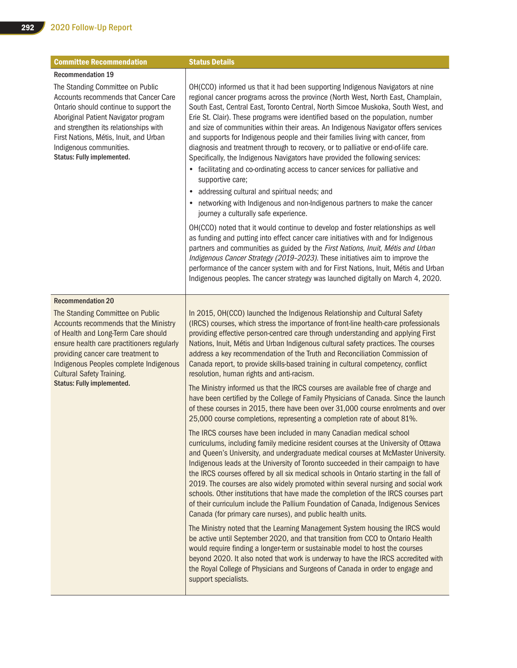| <b>Committee Recommendation</b>                                                                                                                                                                                                                                                                                         | <b>Status Details</b>                                                                                                                                                                                                                                                                                                                                                                                                                                                                                                                                                                                                                                                                                                                                                                                                                                                                                                                                                            |
|-------------------------------------------------------------------------------------------------------------------------------------------------------------------------------------------------------------------------------------------------------------------------------------------------------------------------|----------------------------------------------------------------------------------------------------------------------------------------------------------------------------------------------------------------------------------------------------------------------------------------------------------------------------------------------------------------------------------------------------------------------------------------------------------------------------------------------------------------------------------------------------------------------------------------------------------------------------------------------------------------------------------------------------------------------------------------------------------------------------------------------------------------------------------------------------------------------------------------------------------------------------------------------------------------------------------|
| <b>Recommendation 19</b>                                                                                                                                                                                                                                                                                                |                                                                                                                                                                                                                                                                                                                                                                                                                                                                                                                                                                                                                                                                                                                                                                                                                                                                                                                                                                                  |
| The Standing Committee on Public<br>Accounts recommends that Cancer Care<br>Ontario should continue to support the<br>Aboriginal Patient Navigator program<br>and strengthen its relationships with<br>First Nations, Métis, Inuit, and Urban<br>Indigenous communities.<br>Status: Fully implemented.                  | OH(CCO) informed us that it had been supporting Indigenous Navigators at nine<br>regional cancer programs across the province (North West, North East, Champlain,<br>South East, Central East, Toronto Central, North Simcoe Muskoka, South West, and<br>Erie St. Clair). These programs were identified based on the population, number<br>and size of communities within their areas. An Indigenous Navigator offers services<br>and supports for Indigenous people and their families living with cancer, from<br>diagnosis and treatment through to recovery, or to palliative or end-of-life care.<br>Specifically, the Indigenous Navigators have provided the following services:<br>• facilitating and co-ordinating access to cancer services for palliative and<br>supportive care;<br>addressing cultural and spiritual needs; and<br>$\bullet$<br>networking with Indigenous and non-Indigenous partners to make the cancer<br>journey a culturally safe experience. |
|                                                                                                                                                                                                                                                                                                                         | OH(CCO) noted that it would continue to develop and foster relationships as well<br>as funding and putting into effect cancer care initiatives with and for Indigenous<br>partners and communities as guided by the First Nations, Inuit, Métis and Urban<br>Indigenous Cancer Strategy (2019-2023). These initiatives aim to improve the<br>performance of the cancer system with and for First Nations, Inuit, Métis and Urban<br>Indigenous peoples. The cancer strategy was launched digitally on March 4, 2020.                                                                                                                                                                                                                                                                                                                                                                                                                                                             |
| <b>Recommendation 20</b>                                                                                                                                                                                                                                                                                                |                                                                                                                                                                                                                                                                                                                                                                                                                                                                                                                                                                                                                                                                                                                                                                                                                                                                                                                                                                                  |
| The Standing Committee on Public<br>Accounts recommends that the Ministry<br>of Health and Long-Term Care should<br>ensure health care practitioners regularly<br>providing cancer care treatment to<br>Indigenous Peoples complete Indigenous<br><b>Cultural Safety Training.</b><br><b>Status: Fully implemented.</b> | In 2015, OH(CCO) launched the Indigenous Relationship and Cultural Safety<br>(IRCS) courses, which stress the importance of front-line health-care professionals<br>providing effective person-centred care through understanding and applying First<br>Nations, Inuit, Métis and Urban Indigenous cultural safety practices. The courses<br>address a key recommendation of the Truth and Reconciliation Commission of<br>Canada report, to provide skills-based training in cultural competency, conflict<br>resolution, human rights and anti-racism.                                                                                                                                                                                                                                                                                                                                                                                                                         |
|                                                                                                                                                                                                                                                                                                                         | The Ministry informed us that the IRCS courses are available free of charge and<br>have been certified by the College of Family Physicians of Canada. Since the launch<br>of these courses in 2015, there have been over 31,000 course enrolments and over<br>25,000 course completions, representing a completion rate of about 81%.                                                                                                                                                                                                                                                                                                                                                                                                                                                                                                                                                                                                                                            |
|                                                                                                                                                                                                                                                                                                                         | The IRCS courses have been included in many Canadian medical school<br>curriculums, including family medicine resident courses at the University of Ottawa<br>and Queen's University, and undergraduate medical courses at McMaster University.<br>Indigenous leads at the University of Toronto succeeded in their campaign to have<br>the IRCS courses offered by all six medical schools in Ontario starting in the fall of<br>2019. The courses are also widely promoted within several nursing and social work<br>schools. Other institutions that have made the completion of the IRCS courses part<br>of their curriculum include the Pallium Foundation of Canada, Indigenous Services<br>Canada (for primary care nurses), and public health units.                                                                                                                                                                                                                     |
|                                                                                                                                                                                                                                                                                                                         | The Ministry noted that the Learning Management System housing the IRCS would<br>be active until September 2020, and that transition from CCO to Ontario Health<br>would require finding a longer-term or sustainable model to host the courses<br>beyond 2020. It also noted that work is underway to have the IRCS accredited with<br>the Royal College of Physicians and Surgeons of Canada in order to engage and<br>support specialists.                                                                                                                                                                                                                                                                                                                                                                                                                                                                                                                                    |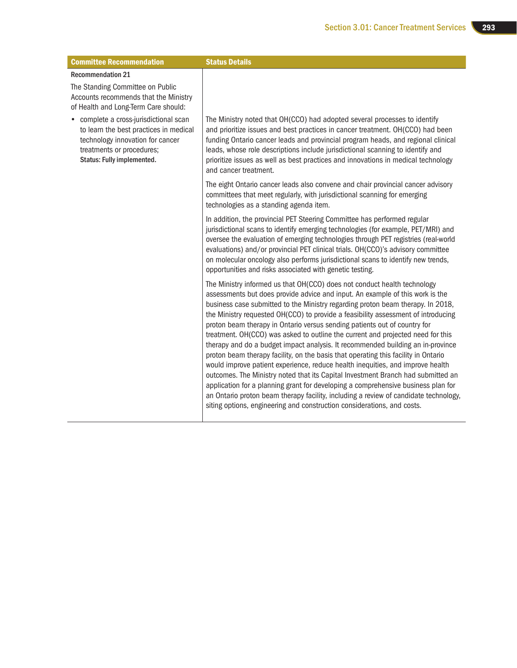| <b>Committee Recommendation</b>                                                                                                                                                 | <b>Status Details</b>                                                                                                                                                                                                                                                                                                                                                                                                                                                                                                                                                                                                                                                                                                                                                                                                                                                                                                                                                                                                                                                                                    |
|---------------------------------------------------------------------------------------------------------------------------------------------------------------------------------|----------------------------------------------------------------------------------------------------------------------------------------------------------------------------------------------------------------------------------------------------------------------------------------------------------------------------------------------------------------------------------------------------------------------------------------------------------------------------------------------------------------------------------------------------------------------------------------------------------------------------------------------------------------------------------------------------------------------------------------------------------------------------------------------------------------------------------------------------------------------------------------------------------------------------------------------------------------------------------------------------------------------------------------------------------------------------------------------------------|
| <b>Recommendation 21</b>                                                                                                                                                        |                                                                                                                                                                                                                                                                                                                                                                                                                                                                                                                                                                                                                                                                                                                                                                                                                                                                                                                                                                                                                                                                                                          |
| The Standing Committee on Public<br>Accounts recommends that the Ministry<br>of Health and Long-Term Care should:                                                               |                                                                                                                                                                                                                                                                                                                                                                                                                                                                                                                                                                                                                                                                                                                                                                                                                                                                                                                                                                                                                                                                                                          |
| • complete a cross-jurisdictional scan<br>to learn the best practices in medical<br>technology innovation for cancer<br>treatments or procedures;<br>Status: Fully implemented. | The Ministry noted that OH(CCO) had adopted several processes to identify<br>and prioritize issues and best practices in cancer treatment. OH(CCO) had been<br>funding Ontario cancer leads and provincial program heads, and regional clinical<br>leads, whose role descriptions include jurisdictional scanning to identify and<br>prioritize issues as well as best practices and innovations in medical technology<br>and cancer treatment.                                                                                                                                                                                                                                                                                                                                                                                                                                                                                                                                                                                                                                                          |
|                                                                                                                                                                                 | The eight Ontario cancer leads also convene and chair provincial cancer advisory<br>committees that meet regularly, with jurisdictional scanning for emerging<br>technologies as a standing agenda item.                                                                                                                                                                                                                                                                                                                                                                                                                                                                                                                                                                                                                                                                                                                                                                                                                                                                                                 |
|                                                                                                                                                                                 | In addition, the provincial PET Steering Committee has performed regular<br>jurisdictional scans to identify emerging technologies (for example, PET/MRI) and<br>oversee the evaluation of emerging technologies through PET registries (real-world<br>evaluations) and/or provincial PET clinical trials. OH(CCO)'s advisory committee<br>on molecular oncology also performs jurisdictional scans to identify new trends,<br>opportunities and risks associated with genetic testing.                                                                                                                                                                                                                                                                                                                                                                                                                                                                                                                                                                                                                  |
|                                                                                                                                                                                 | The Ministry informed us that OH(CCO) does not conduct health technology<br>assessments but does provide advice and input. An example of this work is the<br>business case submitted to the Ministry regarding proton beam therapy. In 2018,<br>the Ministry requested OH(CCO) to provide a feasibility assessment of introducing<br>proton beam therapy in Ontario versus sending patients out of country for<br>treatment. OH(CCO) was asked to outline the current and projected need for this<br>therapy and do a budget impact analysis. It recommended building an in-province<br>proton beam therapy facility, on the basis that operating this facility in Ontario<br>would improve patient experience, reduce health inequities, and improve health<br>outcomes. The Ministry noted that its Capital Investment Branch had submitted an<br>application for a planning grant for developing a comprehensive business plan for<br>an Ontario proton beam therapy facility, including a review of candidate technology,<br>siting options, engineering and construction considerations, and costs. |